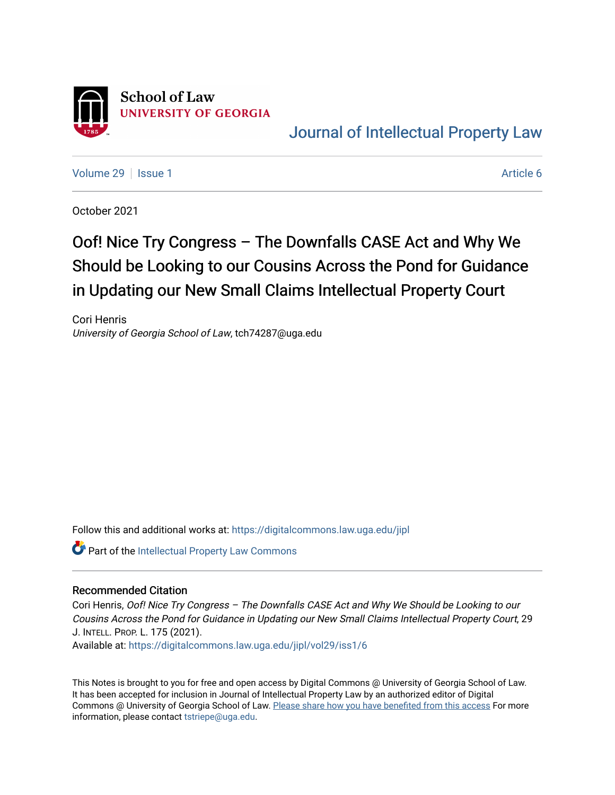

[Journal of Intellectual Property Law](https://digitalcommons.law.uga.edu/jipl) 

[Volume 29](https://digitalcommons.law.uga.edu/jipl/vol29) | [Issue 1](https://digitalcommons.law.uga.edu/jipl/vol29/iss1) Article 6

October 2021

# Oof! Nice Try Congress – The Downfalls CASE Act and Why We Should be Looking to our Cousins Across the Pond for Guidance in Updating our New Small Claims Intellectual Property Court

Cori Henris University of Georgia School of Law, tch74287@uga.edu

Follow this and additional works at: [https://digitalcommons.law.uga.edu/jipl](https://digitalcommons.law.uga.edu/jipl?utm_source=digitalcommons.law.uga.edu%2Fjipl%2Fvol29%2Fiss1%2F6&utm_medium=PDF&utm_campaign=PDFCoverPages) 

Part of the [Intellectual Property Law Commons](http://network.bepress.com/hgg/discipline/896?utm_source=digitalcommons.law.uga.edu%2Fjipl%2Fvol29%2Fiss1%2F6&utm_medium=PDF&utm_campaign=PDFCoverPages) 

### Recommended Citation

Cori Henris, Oof! Nice Try Congress – The Downfalls CASE Act and Why We Should be Looking to our Cousins Across the Pond for Guidance in Updating our New Small Claims Intellectual Property Court, 29 J. INTELL. PROP. L. 175 (2021).

Available at: [https://digitalcommons.law.uga.edu/jipl/vol29/iss1/6](https://digitalcommons.law.uga.edu/jipl/vol29/iss1/6?utm_source=digitalcommons.law.uga.edu%2Fjipl%2Fvol29%2Fiss1%2F6&utm_medium=PDF&utm_campaign=PDFCoverPages) 

This Notes is brought to you for free and open access by Digital Commons @ University of Georgia School of Law. It has been accepted for inclusion in Journal of Intellectual Property Law by an authorized editor of Digital Commons @ University of Georgia School of Law. [Please share how you have benefited from this access](https://docs.google.com/forms/d/e/1FAIpQLSc_7JxpD4JNSJyX6RwtrWT9ZyH0ZZhUyG3XrFAJV-kf1AGk6g/viewform) For more information, please contact [tstriepe@uga.edu](mailto:tstriepe@uga.edu).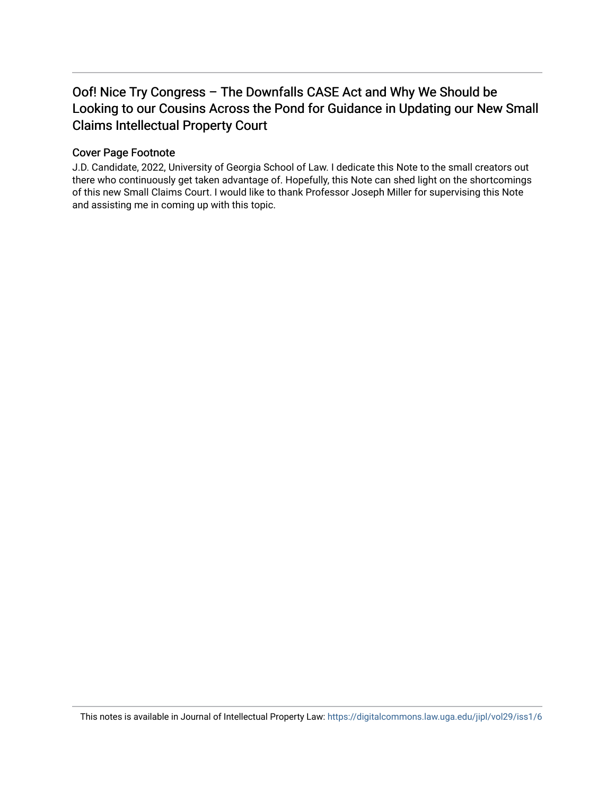## Oof! Nice Try Congress – The Downfalls CASE Act and Why We Should be Looking to our Cousins Across the Pond for Guidance in Updating our New Small Claims Intellectual Property Court

## Cover Page Footnote

J.D. Candidate, 2022, University of Georgia School of Law. I dedicate this Note to the small creators out there who continuously get taken advantage of. Hopefully, this Note can shed light on the shortcomings of this new Small Claims Court. I would like to thank Professor Joseph Miller for supervising this Note and assisting me in coming up with this topic.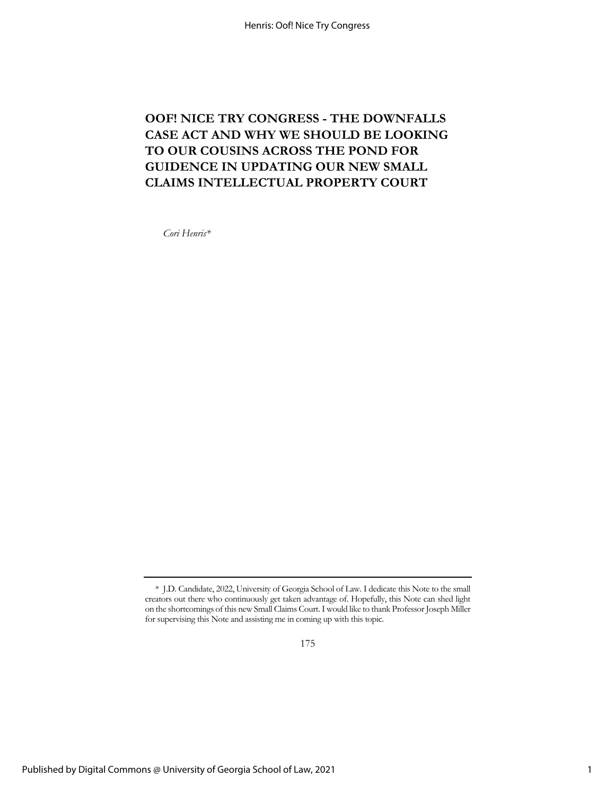## **OOF! NICE TRY CONGRESS - THE DOWNFALLS CASE ACT AND WHY WE SHOULD BE LOOKING TO OUR COUSINS ACROSS THE POND FOR GUIDENCE IN UPDATING OUR NEW SMALL CLAIMS INTELLECTUAL PROPERTY COURT**

*Cori Henris\**

<sup>\*</sup> J.D. Candidate, 2022, University of Georgia School of Law. I dedicate this Note to the small creators out there who continuously get taken advantage of. Hopefully, this Note can shed light on the shortcomings of this new Small Claims Court. I would like to thank Professor Joseph Miller for supervising this Note and assisting me in coming up with this topic.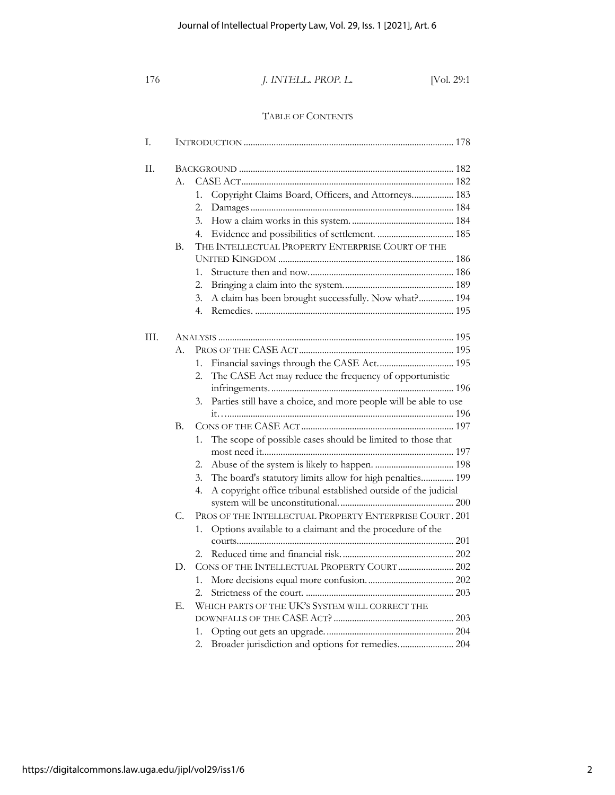## TABLE OF CONTENTS

| I.   |             |                                                                        |  |
|------|-------------|------------------------------------------------------------------------|--|
| Π.   |             |                                                                        |  |
|      | $A_{\cdot}$ |                                                                        |  |
|      |             | Copyright Claims Board, Officers, and Attorneys 183<br>1.              |  |
|      |             | 2.                                                                     |  |
|      |             | 3.                                                                     |  |
|      |             | 4.                                                                     |  |
|      | В.          | THE INTELLECTUAL PROPERTY ENTERPRISE COURT OF THE                      |  |
|      |             |                                                                        |  |
|      |             | 1.                                                                     |  |
|      |             | 2.                                                                     |  |
|      |             | A claim has been brought successfully. Now what? 194<br>3.             |  |
|      |             | 4.                                                                     |  |
|      |             |                                                                        |  |
| III. |             |                                                                        |  |
|      | А.          |                                                                        |  |
|      |             | 1.                                                                     |  |
|      |             | The CASE Act may reduce the frequency of opportunistic<br>2.           |  |
|      |             | Parties still have a choice, and more people will be able to use<br>3. |  |
|      |             |                                                                        |  |
|      | В.          |                                                                        |  |
|      |             | The scope of possible cases should be limited to those that<br>1.      |  |
|      |             |                                                                        |  |
|      |             | 2.                                                                     |  |
|      |             | The board's statutory limits allow for high penalties 199<br>3.        |  |
|      |             | A copyright office tribunal established outside of the judicial<br>4.  |  |
|      |             |                                                                        |  |
|      | С.          | PROS OF THE INTELLECTUAL PROPERTY ENTERPRISE COURT. 201                |  |
|      |             | Options available to a claimant and the procedure of the<br>1.         |  |
|      |             |                                                                        |  |
|      |             | 2.                                                                     |  |
|      | D.          | CONS OF THE INTELLECTUAL PROPERTY COURT  202                           |  |
|      |             | 1.                                                                     |  |
|      |             | $2^{+}$                                                                |  |
|      | Е.          | WHICH PARTS OF THE UK'S SYSTEM WILL CORRECT THE                        |  |
|      |             |                                                                        |  |
|      |             | 1.                                                                     |  |
|      |             | Broader jurisdiction and options for remedies 204<br>2.                |  |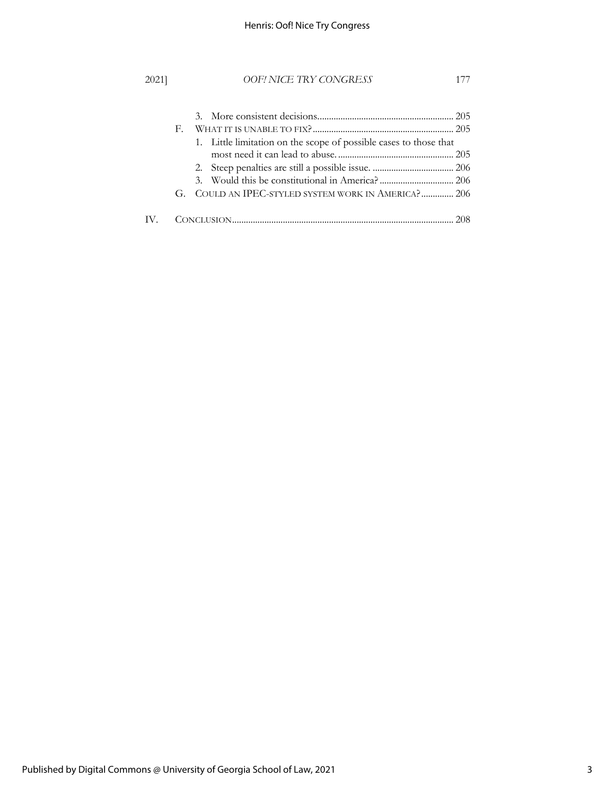## Henris: Oof! Nice Try Congress

## 2021] *OOF! NICE TRY CONGRESS* 177

|  | 1. Little limitation on the scope of possible cases to those that |  |
|--|-------------------------------------------------------------------|--|
|  |                                                                   |  |
|  |                                                                   |  |
|  |                                                                   |  |
|  | G. COULD AN IPEC-STYLED SYSTEM WORK IN AMERICA? 206               |  |
|  |                                                                   |  |
|  |                                                                   |  |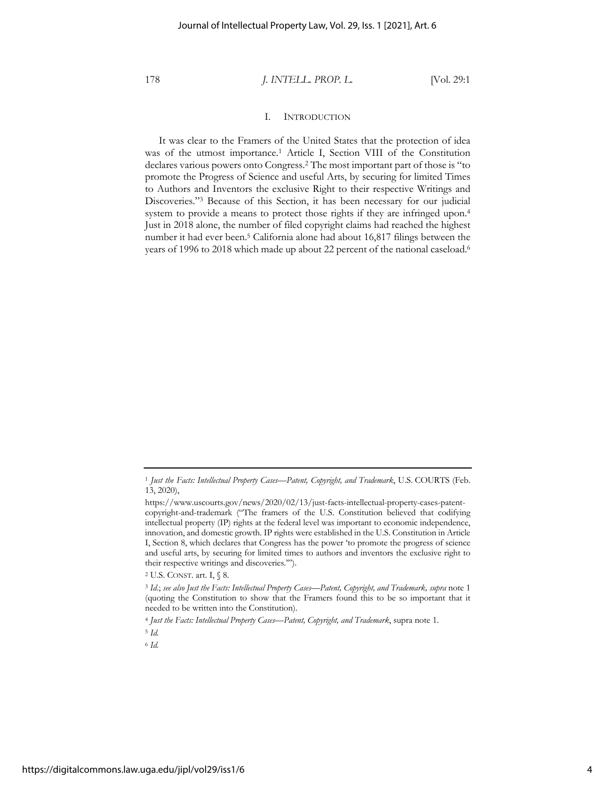#### I. INTRODUCTION

It was clear to the Framers of the United States that the protection of idea was of the utmost importance.<sup>1</sup> Article I, Section VIII of the Constitution declares various powers onto Congress.2 The most important part of those is "to promote the Progress of Science and useful Arts, by securing for limited Times to Authors and Inventors the exclusive Right to their respective Writings and Discoveries."3 Because of this Section, it has been necessary for our judicial system to provide a means to protect those rights if they are infringed upon. 4 Just in 2018 alone, the number of filed copyright claims had reached the highest number it had ever been.5 California alone had about 16,817 filings between the years of 1996 to 2018 which made up about 22 percent of the national caseload.<sup>6</sup>

<sup>2</sup> U.S. CONST. art. I, § 8.

<sup>5</sup> *Id.*

<sup>1</sup> *Just the Facts: Intellectual Property Cases—Patent, Copyright, and Trademark*, U.S. COURTS (Feb. 13, 2020),

https://www.uscourts.gov/news/2020/02/13/just-facts-intellectual-property-cases-patentcopyright-and-trademark ("The framers of the U.S. Constitution believed that codifying intellectual property (IP) rights at the federal level was important to economic independence, innovation, and domestic growth. IP rights were established in the U.S. Constitution in Article I, Section 8, which declares that Congress has the power 'to promote the progress of science and useful arts, by securing for limited times to authors and inventors the exclusive right to their respective writings and discoveries.'").

<sup>3</sup> *Id*.; *see also Just the Facts: Intellectual Property Cases—Patent, Copyright, and Trademark, supra* note 1 (quoting the Constitution to show that the Framers found this to be so important that it needed to be written into the Constitution).

<sup>4</sup> *Just the Facts: Intellectual Property Cases—Patent, Copyright, and Trademark*, supra note 1.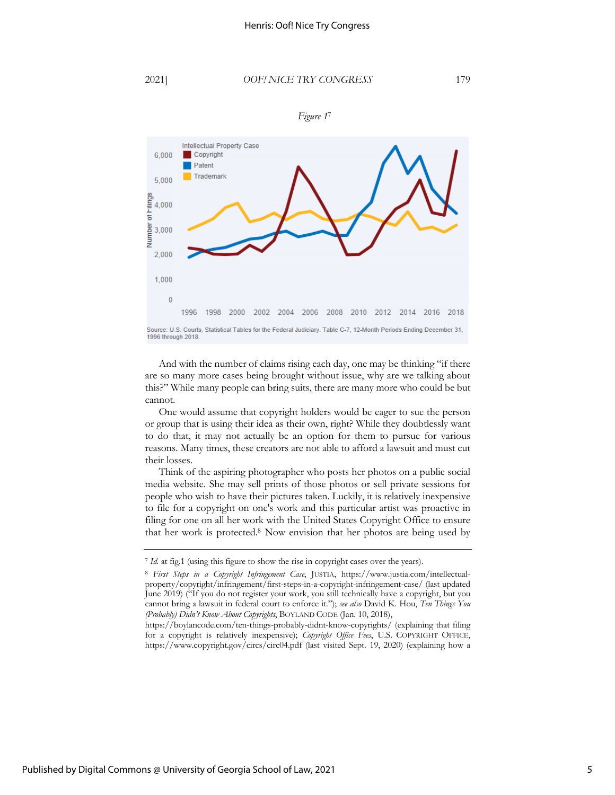#### 2021] *OOF! NICE TRY CONGRESS* 179



And with the number of claims rising each day, one may be thinking "if there are so many more cases being brought without issue, why are we talking about this?" While many people can bring suits, there are many more who could be but cannot.

One would assume that copyright holders would be eager to sue the person or group that is using their idea as their own, right? While they doubtlessly want to do that, it may not actually be an option for them to pursue for various reasons. Many times, these creators are not able to afford a lawsuit and must cut their losses.

Think of the aspiring photographer who posts her photos on a public social media website. She may sell prints of those photos or sell private sessions for people who wish to have their pictures taken. Luckily, it is relatively inexpensive to file for a copyright on one's work and this particular artist was proactive in filing for one on all her work with the United States Copyright Office to ensure that her work is protected.8 Now envision that her photos are being used by

https://boylancode.com/ten-things-probably-didnt-know-copyrights/ (explaining that filing for a copyright is relatively inexpensive); *Copyright Office Fees*, U.S. COPYRIGHT OFFICE, https://www.copyright.gov/circs/circ04.pdf (last visited Sept. 19, 2020) (explaining how a

<sup>7</sup> *Id.* at fig.1 (using this figure to show the rise in copyright cases over the years).

<sup>8</sup> *First Steps in a Copyright Infringement Case*, JUSTIA, https://www.justia.com/intellectualproperty/copyright/infringement/first-steps-in-a-copyright-infringement-case/ (last updated June 2019) ("If you do not register your work, you still technically have a copyright, but you cannot bring a lawsuit in federal court to enforce it."); *see also* David K. Hou, *Ten Things You (Probably) Didn't Know About Copyrights*, BOYLAND CODE (Jan. 10, 2018),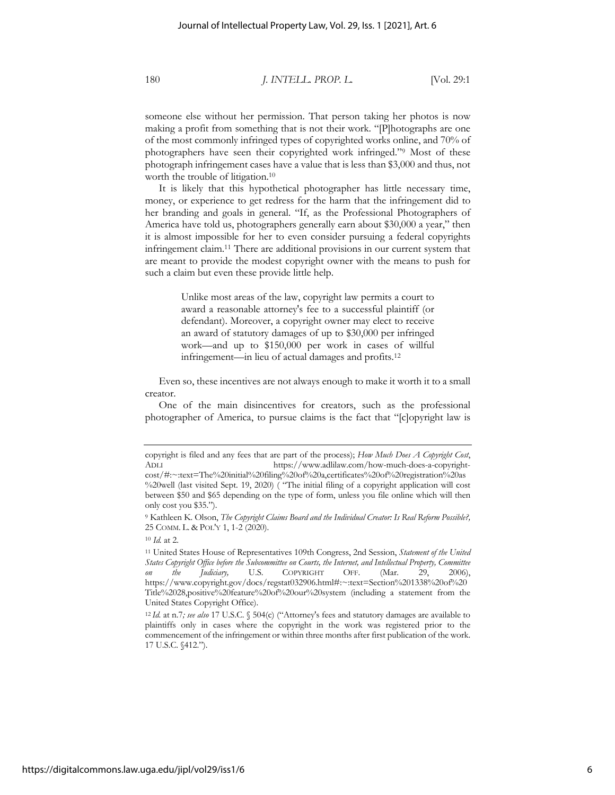someone else without her permission. That person taking her photos is now making a profit from something that is not their work. "[P]hotographs are one of the most commonly infringed types of copyrighted works online, and 70% of photographers have seen their copyrighted work infringed."9 Most of these photograph infringement cases have a value that is less than \$3,000 and thus, not worth the trouble of litigation.<sup>10</sup>

It is likely that this hypothetical photographer has little necessary time, money, or experience to get redress for the harm that the infringement did to her branding and goals in general. "If, as the Professional Photographers of America have told us, photographers generally earn about \$30,000 a year," then it is almost impossible for her to even consider pursuing a federal copyrights infringement claim.11 There are additional provisions in our current system that are meant to provide the modest copyright owner with the means to push for such a claim but even these provide little help.

> Unlike most areas of the law, copyright law permits a court to award a reasonable attorney's fee to a successful plaintiff (or defendant). Moreover, a copyright owner may elect to receive an award of statutory damages of up to \$30,000 per infringed work—and up to \$150,000 per work in cases of willful infringement—in lieu of actual damages and profits.12

Even so, these incentives are not always enough to make it worth it to a small creator.

One of the main disincentives for creators, such as the professional photographer of America, to pursue claims is the fact that "[c]opyright law is

copyright is filed and any fees that are part of the process); *How Much Does A Copyright Cost*, ADLI https://www.adlilaw.com/how-much-does-a-copyrightcost/#:~:text=The%20initial%20filing%20of%20a,certificates%20of%20registration%20as

<sup>%20</sup>well (last visited Sept. 19, 2020) ( "The initial filing of a copyright application will cost between \$50 and \$65 depending on the type of form, unless you file online which will then only cost you \$35.").

<sup>9</sup> Kathleen K. Olson, *The Copyright Claims Board and the Individual Creator: Is Real Reform Possible?,* 25 COMM. L. & POL'Y 1, 1-2 (2020).

<sup>10</sup> *Id.* at 2.

<sup>11</sup> United States House of Representatives 109th Congress, 2nd Session, *Statement of the United States Copyright Office before the Subcommittee on Courts, the Internet, and Intellectual Property, Committee on the Judiciary,* U.S. COPYRIGHT OFF. (Mar. 29, 2006), https://www.copyright.gov/docs/regstat032906.html#:~:text=Section%201338%20of%20 Title%2028,positive%20feature%20of%20our%20system (including a statement from the United States Copyright Office).

<sup>12</sup> *Id.* at n.7*; see also* 17 U.S.C. § 504(c) ("Attorney's fees and statutory damages are available to plaintiffs only in cases where the copyright in the work was registered prior to the commencement of the infringement or within three months after first publication of the work. 17 U.S.C. §412.").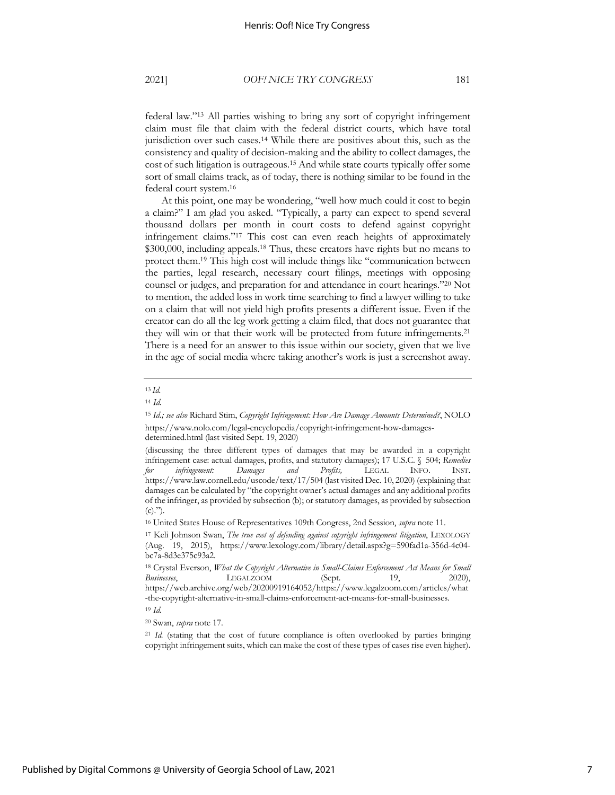federal law."13 All parties wishing to bring any sort of copyright infringement claim must file that claim with the federal district courts, which have total jurisdiction over such cases.14 While there are positives about this, such as the consistency and quality of decision-making and the ability to collect damages, the cost of such litigation is outrageous.15 And while state courts typically offer some sort of small claims track, as of today, there is nothing similar to be found in the federal court system.16

At this point, one may be wondering, "well how much could it cost to begin a claim?" I am glad you asked. "Typically, a party can expect to spend several thousand dollars per month in court costs to defend against copyright infringement claims."17 This cost can even reach heights of approximately \$300,000, including appeals.18 Thus, these creators have rights but no means to protect them.19 This high cost will include things like "communication between the parties, legal research, necessary court filings, meetings with opposing counsel or judges, and preparation for and attendance in court hearings."20 Not to mention, the added loss in work time searching to find a lawyer willing to take on a claim that will not yield high profits presents a different issue. Even if the creator can do all the leg work getting a claim filed, that does not guarantee that they will win or that their work will be protected from future infringements.21 There is a need for an answer to this issue within our society, given that we live in the age of social media where taking another's work is just a screenshot away.

determined.html (last visited Sept. 19, 2020)

<sup>13</sup> *Id.*

<sup>14</sup> *Id.*

<sup>15</sup> *Id.; see also* Richard Stim, *Copyright Infringement: How Are Damage Amounts Determined?*, NOLO https://www.nolo.com/legal-encyclopedia/copyright-infringement-how-damages-

<sup>(</sup>discussing the three different types of damages that may be awarded in a copyright infringement case: actual damages, profits, and statutory damages); 17 U.S.C. § 504; *Remedies for infringement: Damages and Profits,* LEGAL INFO. INST. https://www.law.cornell.edu/uscode/text/17/504 (last visited Dec. 10, 2020) (explaining that damages can be calculated by "the copyright owner's actual damages and any additional profits of the infringer, as provided by subsection (b); or statutory damages, as provided by subsection  $(c).$ ").

<sup>16</sup> United States House of Representatives 109th Congress, 2nd Session, *supra* note 11.

<sup>17</sup> Keli Johnson Swan, *The true cost of defending against copyright infringement litigation*, LEXOLOGY (Aug. 19, 2015), https://www.lexology.com/library/detail.aspx?g=590fad1a-356d-4c04 bc7a-8d3e375c93a2.

<sup>18</sup> Crystal Everson, *What the Copyright Alternative in Small-Claims Enforcement Act Means for Small Businesses*, LEGALZOOM (Sept. 19, 2020), https://web.archive.org/web/20200919164052/https://www.legalzoom.com/articles/what -the-copyright-alternative-in-small-claims-enforcement-act-means-for-small-businesses.

<sup>20</sup> Swan, *supra* note 17.

<sup>&</sup>lt;sup>21</sup> *Id.* (stating that the cost of future compliance is often overlooked by parties bringing copyright infringement suits, which can make the cost of these types of cases rise even higher).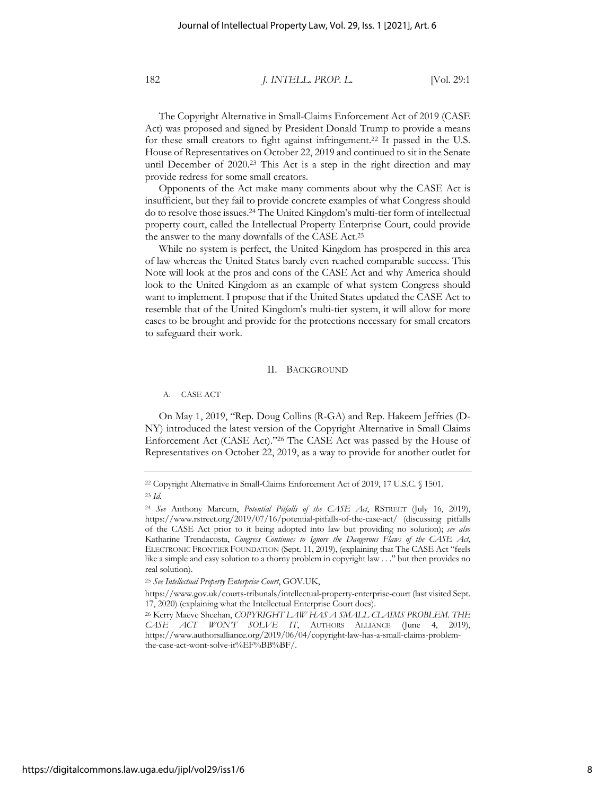The Copyright Alternative in Small-Claims Enforcement Act of 2019 (CASE Act) was proposed and signed by President Donald Trump to provide a means for these small creators to fight against infringement.<sup>22</sup> It passed in the U.S. House of Representatives on October 22, 2019 and continued to sit in the Senate until December of 2020.23 This Act is a step in the right direction and may provide redress for some small creators.

Opponents of the Act make many comments about why the CASE Act is insufficient, but they fail to provide concrete examples of what Congress should do to resolve those issues.24 The United Kingdom's multi-tier form of intellectual property court, called the Intellectual Property Enterprise Court, could provide the answer to the many downfalls of the CASE Act.25

While no system is perfect, the United Kingdom has prospered in this area of law whereas the United States barely even reached comparable success. This Note will look at the pros and cons of the CASE Act and why America should look to the United Kingdom as an example of what system Congress should want to implement. I propose that if the United States updated the CASE Act to resemble that of the United Kingdom's multi-tier system, it will allow for more cases to be brought and provide for the protections necessary for small creators to safeguard their work.

#### II. BACKGROUND

A. CASE ACT

On May 1, 2019, "Rep. Doug Collins (R-GA) and Rep. Hakeem Jeffries (D-NY) introduced the latest version of the Copyright Alternative in Small Claims Enforcement Act (CASE Act)."26 The CASE Act was passed by the House of Representatives on October 22, 2019, as a way to provide for another outlet for

<sup>22</sup> Copyright Alternative in Small-Claims Enforcement Act of 2019, 17 U.S.C. § 1501. <sup>23</sup> *Id*.

<sup>24</sup> *See* Anthony Marcum, *Potential Pitfalls of the CASE Act*, RSTREET (July 16, 2019), https://www.rstreet.org/2019/07/16/potential-pitfalls-of-the-case-act/ (discussing pitfalls of the CASE Act prior to it being adopted into law but providing no solution); *see also* Katharine Trendacosta, *Congress Continues to Ignore the Dangerous Flaws of the CASE Act*, ELECTRONIC FRONTIER FOUNDATION (Sept. 11, 2019), (explaining that The CASE Act "feels like a simple and easy solution to a thorny problem in copyright law . . ." but then provides no real solution).

<sup>25</sup> *See Intellectual Property Enterprise Court*, GOV.UK,

https://www.gov.uk/courts-tribunals/intellectual-property-enterprise-court (last visited Sept. 17, 2020) (explaining what the Intellectual Enterprise Court does).

<sup>26</sup> Kerry Maeve Sheehan, *COPYRIGHT LAW HAS A SMALL CLAIMS PROBLEM. THE CASE ACT WON'T SOLVE IT*, AUTHORS ALLIANCE (June 4, 2019), https://www.authorsalliance.org/2019/06/04/copyright-law-has-a-small-claims-problemthe-case-act-wont-solve-it%EF%BB%BF/.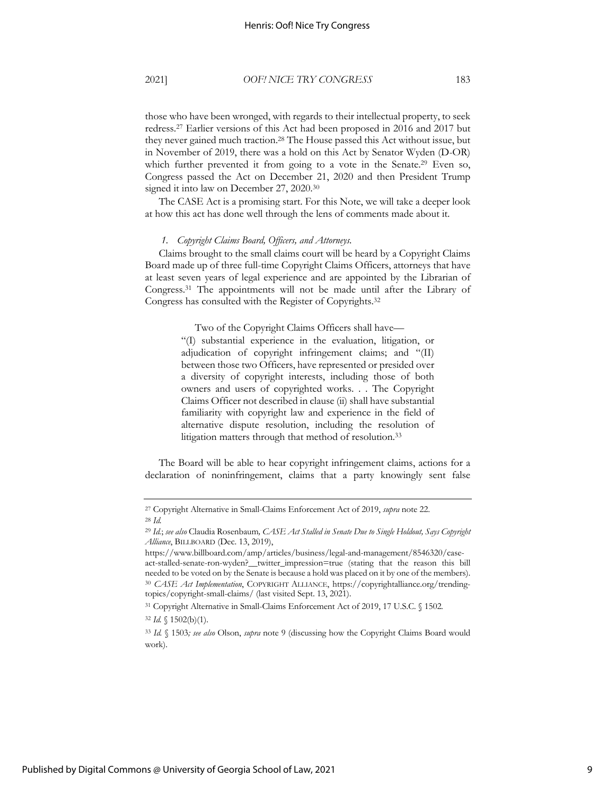those who have been wronged, with regards to their intellectual property, to seek redress.27 Earlier versions of this Act had been proposed in 2016 and 2017 but they never gained much traction.28 The House passed this Act without issue, but in November of 2019, there was a hold on this Act by Senator Wyden (D-OR) which further prevented it from going to a vote in the Senate.<sup>29</sup> Even so, Congress passed the Act on December 21, 2020 and then President Trump signed it into law on December 27, 2020.30

The CASE Act is a promising start. For this Note, we will take a deeper look at how this act has done well through the lens of comments made about it.

#### *1. Copyright Claims Board, Officers, and Attorneys.*

Claims brought to the small claims court will be heard by a Copyright Claims Board made up of three full-time Copyright Claims Officers, attorneys that have at least seven years of legal experience and are appointed by the Librarian of Congress.31 The appointments will not be made until after the Library of Congress has consulted with the Register of Copyrights.32

Two of the Copyright Claims Officers shall have—

"(I) substantial experience in the evaluation, litigation, or adjudication of copyright infringement claims; and "(II) between those two Officers, have represented or presided over a diversity of copyright interests, including those of both owners and users of copyrighted works. . . The Copyright Claims Officer not described in clause (ii) shall have substantial familiarity with copyright law and experience in the field of alternative dispute resolution, including the resolution of litigation matters through that method of resolution.33

The Board will be able to hear copyright infringement claims, actions for a declaration of noninfringement, claims that a party knowingly sent false

<sup>27</sup> Copyright Alternative in Small-Claims Enforcement Act of 2019, *supra* note 22. <sup>28</sup> *Id.*

<sup>29</sup> *Id.*; *see also* Claudia Rosenbaum*, CASE Act Stalled in Senate Due to Single Holdout, Says Copyright Alliance*, BILLBOARD (Dec. 13, 2019),

https://www.billboard.com/amp/articles/business/legal-and-management/8546320/caseact-stalled-senate-ron-wyden?\_\_twitter\_impression=true (stating that the reason this bill needed to be voted on by the Senate is because a hold was placed on it by one of the members). <sup>30</sup> *CASE Act Implementation*, COPYRIGHT ALLIANCE, https://copyrightalliance.org/trendingtopics/copyright-small-claims/ (last visited Sept. 13, 2021).

<sup>31</sup> Copyright Alternative in Small-Claims Enforcement Act of 2019, 17 U.S.C. § 1502*.*  <sup>32</sup> *Id.* § 1502(b)(1).

<sup>33</sup> *Id.* § 1503*; see also* Olson, *supra* note 9 (discussing how the Copyright Claims Board would work).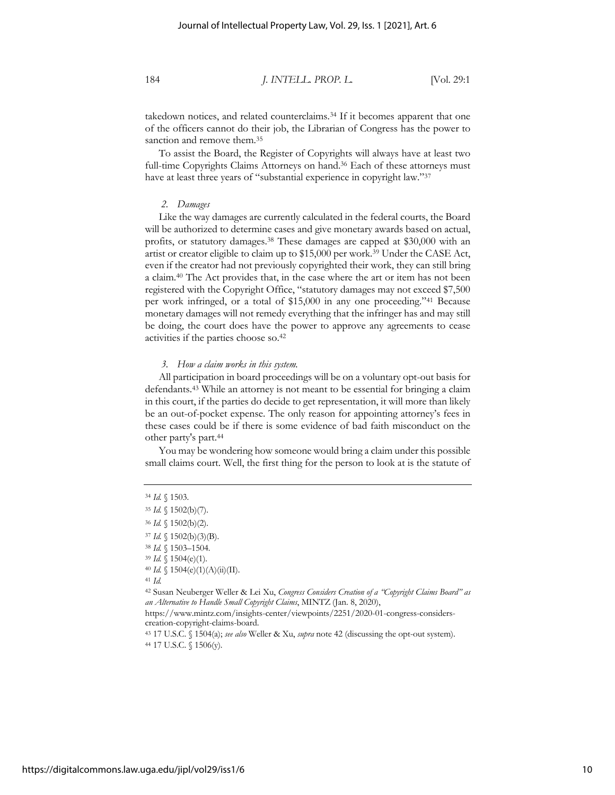takedown notices, and related counterclaims.34 If it becomes apparent that one of the officers cannot do their job, the Librarian of Congress has the power to sanction and remove them.<sup>35</sup>

To assist the Board, the Register of Copyrights will always have at least two full-time Copyrights Claims Attorneys on hand.<sup>36</sup> Each of these attorneys must have at least three years of "substantial experience in copyright law."37

#### *2. Damages*

Like the way damages are currently calculated in the federal courts, the Board will be authorized to determine cases and give monetary awards based on actual, profits, or statutory damages.38 These damages are capped at \$30,000 with an artist or creator eligible to claim up to \$15,000 per work.39 Under the CASE Act, even if the creator had not previously copyrighted their work, they can still bring a claim.40 The Act provides that, in the case where the art or item has not been registered with the Copyright Office, "statutory damages may not exceed \$7,500 per work infringed, or a total of \$15,000 in any one proceeding."41 Because monetary damages will not remedy everything that the infringer has and may still be doing, the court does have the power to approve any agreements to cease activities if the parties choose so.42

#### *3. How a claim works in this system.*

All participation in board proceedings will be on a voluntary opt-out basis for defendants.43 While an attorney is not meant to be essential for bringing a claim in this court, if the parties do decide to get representation, it will more than likely be an out-of-pocket expense. The only reason for appointing attorney's fees in these cases could be if there is some evidence of bad faith misconduct on the other party's part.44

You may be wondering how someone would bring a claim under this possible small claims court. Well, the first thing for the person to look at is the statute of

<sup>34</sup> *Id.* § 1503.

<sup>35</sup> *Id.* § 1502(b)(7).

<sup>36</sup> *Id.* § 1502(b)(2).

<sup>37</sup> *Id.* § 1502(b)(3)(B).

<sup>38</sup> *Id.* § 1503–1504*.* 

<sup>39</sup> *Id.* § 1504(e)(1)*.*

<sup>40</sup> *Id.* § 1504(e)(1)(A)(ii)(II).

<sup>41</sup> *Id.*

<sup>42</sup> Susan Neuberger Weller & Lei Xu, *Congress Considers Creation of a "Copyright Claims Board" as an Alternative to Handle Small Copyright Claims*, MINTZ (Jan. 8, 2020),

https://www.mintz.com/insights-center/viewpoints/2251/2020-01-congress-considerscreation-copyright-claims-board.

<sup>43</sup> 17 U.S.C. § 1504(a); *see also* Weller & Xu, *supra* note 42 (discussing the opt-out system). 44 17 U.S.C. § 1506(y)*.*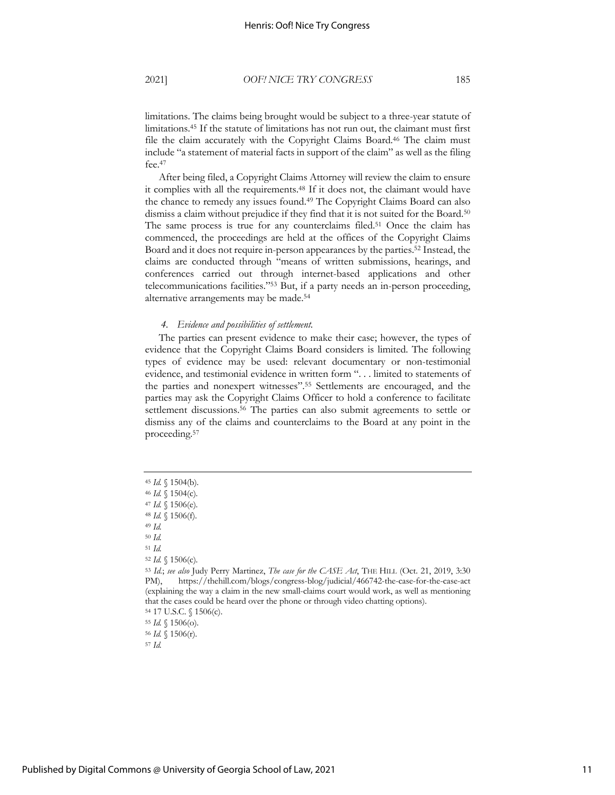limitations. The claims being brought would be subject to a three-year statute of limitations.45 If the statute of limitations has not run out, the claimant must first file the claim accurately with the Copyright Claims Board.46 The claim must include "a statement of material facts in support of the claim" as well as the filing fee.47

After being filed, a Copyright Claims Attorney will review the claim to ensure it complies with all the requirements.48 If it does not, the claimant would have the chance to remedy any issues found.49 The Copyright Claims Board can also dismiss a claim without prejudice if they find that it is not suited for the Board.50 The same process is true for any counterclaims filed.<sup>51</sup> Once the claim has commenced, the proceedings are held at the offices of the Copyright Claims Board and it does not require in-person appearances by the parties.52 Instead, the claims are conducted through "means of written submissions, hearings, and conferences carried out through internet-based applications and other telecommunications facilities."53 But, if a party needs an in-person proceeding, alternative arrangements may be made.54

#### *4. Evidence and possibilities of settlement.*

The parties can present evidence to make their case; however, the types of evidence that the Copyright Claims Board considers is limited. The following types of evidence may be used: relevant documentary or non-testimonial evidence, and testimonial evidence in written form ". . . limited to statements of the parties and nonexpert witnesses".55 Settlements are encouraged, and the parties may ask the Copyright Claims Officer to hold a conference to facilitate settlement discussions.56 The parties can also submit agreements to settle or dismiss any of the claims and counterclaims to the Board at any point in the proceeding.57

<sup>50</sup> *Id.*

<sup>51</sup> *Id.*

<sup>56</sup> *Id.* § 1506(r)*.*

<sup>45</sup> *Id.* § 1504(b)*.*

<sup>46</sup> *Id.* § 1504(c)*.*

<sup>47</sup> *Id.* § 1506(e)*.*

<sup>48</sup> *Id.* § 1506(f)*.*

<sup>49</sup> *Id.*

<sup>52</sup> *Id.* § 1506(c)*.*

<sup>53</sup> *Id.*; *see also* Judy Perry Martinez, *The case for the CASE Act*, THE HILL (Oct. 21, 2019, 3:30 PM), https://thehill.com/blogs/congress-blog/judicial/466742-the-case-for-the-case-act (explaining the way a claim in the new small-claims court would work, as well as mentioning that the cases could be heard over the phone or through video chatting options). <sup>54</sup> 17 U.S.C. § 1506(c).

<sup>55</sup> *Id.* § 1506(o)*.*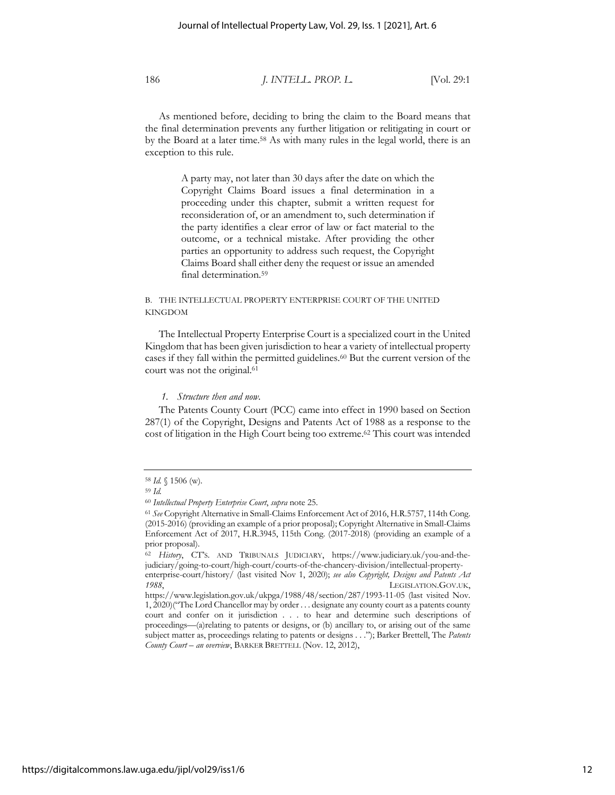As mentioned before, deciding to bring the claim to the Board means that the final determination prevents any further litigation or relitigating in court or by the Board at a later time.58 As with many rules in the legal world, there is an exception to this rule.

> A party may, not later than 30 days after the date on which the Copyright Claims Board issues a final determination in a proceeding under this chapter, submit a written request for reconsideration of, or an amendment to, such determination if the party identifies a clear error of law or fact material to the outcome, or a technical mistake. After providing the other parties an opportunity to address such request, the Copyright Claims Board shall either deny the request or issue an amended final determination.59

B. THE INTELLECTUAL PROPERTY ENTERPRISE COURT OF THE UNITED KINGDOM

The Intellectual Property Enterprise Court is a specialized court in the United Kingdom that has been given jurisdiction to hear a variety of intellectual property cases if they fall within the permitted guidelines.60 But the current version of the court was not the original.<sup>61</sup>

*1. Structure then and now.*

The Patents County Court (PCC) came into effect in 1990 based on Section 287(1) of the Copyright, Designs and Patents Act of 1988 as a response to the cost of litigation in the High Court being too extreme.62 This court was intended

<sup>58</sup> *Id.* § 1506 (w)*.*

<sup>59</sup> *Id.* 

<sup>60</sup> *Intellectual Property Enterprise Court*, *supra* note 25.

<sup>61</sup> *See* Copyright Alternative in Small-Claims Enforcement Act of 2016, H.R.5757, 114th Cong. (2015-2016) (providing an example of a prior proposal); Copyright Alternative in Small-Claims Enforcement Act of 2017, H.R.3945, 115th Cong. (2017-2018) (providing an example of a prior proposal).

<sup>62</sup> *History*, CT'S. AND TRIBUNALS JUDICIARY, https://www.judiciary.uk/you-and-thejudiciary/going-to-court/high-court/courts-of-the-chancery-division/intellectual-property-

enterprise-court/history/ (last visited Nov 1, 2020); *see also Copyright, Designs and Patents Act 1988*, LEGISLATION.GOV.UK,

https://www.legislation.gov.uk/ukpga/1988/48/section/287/1993-11-05 (last visited Nov. 1, 2020)("The Lord Chancellor may by order . . . designate any county court as a patents county court and confer on it jurisdiction . . . to hear and determine such descriptions of proceedings—(a)relating to patents or designs, or (b) ancillary to, or arising out of the same subject matter as, proceedings relating to patents or designs . . ."); Barker Brettell, The *Patents County Court – an overview*, BARKER BRETTELL (Nov. 12, 2012),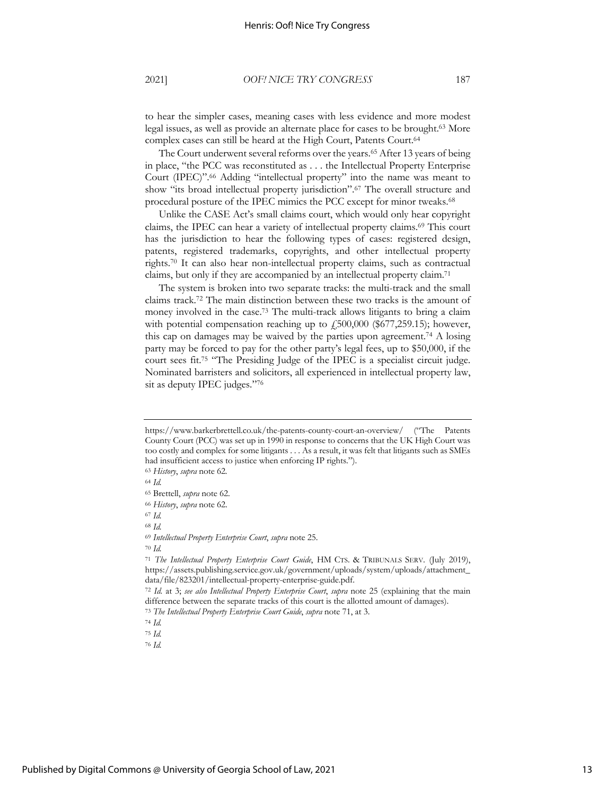The Court underwent several reforms over the years.65 After 13 years of being in place, "the PCC was reconstituted as . . . the Intellectual Property Enterprise Court (IPEC)".66 Adding "intellectual property" into the name was meant to show "its broad intellectual property jurisdiction".67 The overall structure and procedural posture of the IPEC mimics the PCC except for minor tweaks.68

Unlike the CASE Act's small claims court, which would only hear copyright claims, the IPEC can hear a variety of intellectual property claims.69 This court has the jurisdiction to hear the following types of cases: registered design, patents, registered trademarks, copyrights, and other intellectual property rights.70 It can also hear non-intellectual property claims, such as contractual claims, but only if they are accompanied by an intellectual property claim.71

The system is broken into two separate tracks: the multi-track and the small claims track. <sup>72</sup> The main distinction between these two tracks is the amount of money involved in the case.73 The multi-track allows litigants to bring a claim with potential compensation reaching up to  $\overline{f}$  500,000 (\$677,259.15); however, this cap on damages may be waived by the parties upon agreement.<sup>74</sup> A losing party may be forced to pay for the other party's legal fees, up to \$50,000, if the court sees fit.75 "The Presiding Judge of the IPEC is a specialist circuit judge. Nominated barristers and solicitors, all experienced in intellectual property law, sit as deputy IPEC judges."76

<sup>70</sup> *Id.* 

https://www.barkerbrettell.co.uk/the-patents-county-court-an-overview/ ("The Patents County Court (PCC) was set up in 1990 in response to concerns that the UK High Court was too costly and complex for some litigants . . . As a result, it was felt that litigants such as SMEs had insufficient access to justice when enforcing IP rights.").

<sup>63</sup> *History*, *supra* note 62*.* 

<sup>64</sup> *Id.* 

<sup>65</sup> Brettell, *supra* note 62.

<sup>66</sup> *History*, *supra* note 62.

<sup>67</sup> *Id.*

<sup>68</sup> *Id.*

<sup>69</sup> *Intellectual Property Enterprise Court*, *supra* note 25.

<sup>71</sup> *The Intellectual Property Enterprise Court Guide*, HM CTS. & TRIBUNALS SERV. (July 2019), https://assets.publishing.service.gov.uk/government/uploads/system/uploads/attachment\_ data/file/823201/intellectual-property-enterprise-guide.pdf.

<sup>72</sup> *Id.* at 3; *see also Intellectual Property Enterprise Court*, *supra* note 25 (explaining that the main difference between the separate tracks of this court is the allotted amount of damages).

<sup>73</sup> *The Intellectual Property Enterprise Court Guide*, *supra* note 71, at 3.

<sup>75</sup> *Id.* 

<sup>76</sup> *Id.*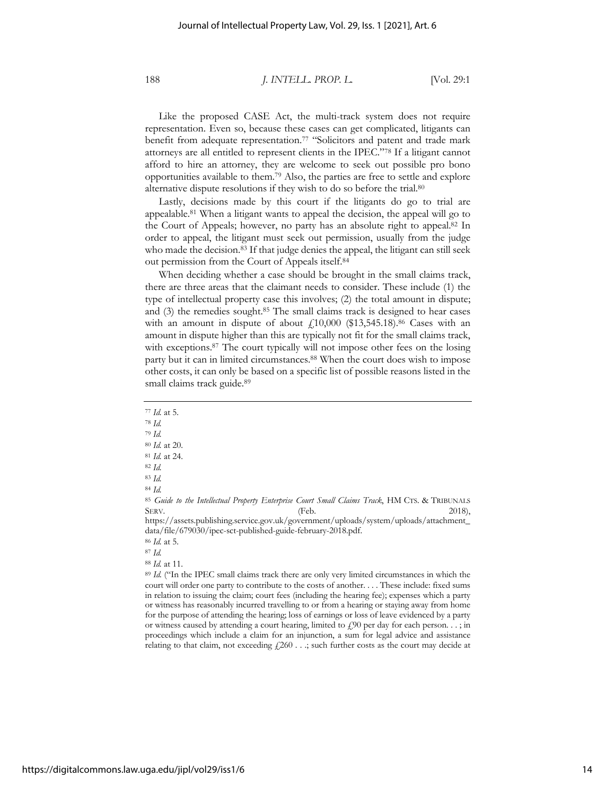Like the proposed CASE Act, the multi-track system does not require representation. Even so, because these cases can get complicated, litigants can benefit from adequate representation.77 "Solicitors and patent and trade mark attorneys are all entitled to represent clients in the IPEC."78 If a litigant cannot afford to hire an attorney, they are welcome to seek out possible pro bono opportunities available to them.79 Also, the parties are free to settle and explore alternative dispute resolutions if they wish to do so before the trial.80

Lastly, decisions made by this court if the litigants do go to trial are appealable.81 When a litigant wants to appeal the decision, the appeal will go to the Court of Appeals; however, no party has an absolute right to appeal.82 In order to appeal, the litigant must seek out permission, usually from the judge who made the decision.<sup>83</sup> If that judge denies the appeal, the litigant can still seek out permission from the Court of Appeals itself.84

When deciding whether a case should be brought in the small claims track, there are three areas that the claimant needs to consider. These include (1) the type of intellectual property case this involves; (2) the total amount in dispute; and (3) the remedies sought.85 The small claims track is designed to hear cases with an amount in dispute of about  $\text{\textsterling}10,000$  (\$13,545.18).<sup>86</sup> Cases with an amount in dispute higher than this are typically not fit for the small claims track, with exceptions.<sup>87</sup> The court typically will not impose other fees on the losing party but it can in limited circumstances.88 When the court does wish to impose other costs, it can only be based on a specific list of possible reasons listed in the small claims track guide.<sup>89</sup>

<sup>77</sup> *Id.* at 5.

<sup>78</sup> *Id.*

<sup>79</sup> *Id.*

<sup>80</sup> *Id.* at 20.

<sup>81</sup> *Id.* at 24.

<sup>82</sup> *Id.*

<sup>83</sup> *Id.*

<sup>84</sup> *Id.* 

<sup>86</sup> *Id.* at 5.

<sup>87</sup> *Id.* 

<sup>88</sup> *Id.* at 11.

<sup>89</sup> *Id.* ("In the IPEC small claims track there are only very limited circumstances in which the court will order one party to contribute to the costs of another. . . . These include: fixed sums in relation to issuing the claim; court fees (including the hearing fee); expenses which a party or witness has reasonably incurred travelling to or from a hearing or staying away from home for the purpose of attending the hearing; loss of earnings or loss of leave evidenced by a party or witness caused by attending a court hearing, limited to  $f(90)$  per day for each person...; in proceedings which include a claim for an injunction, a sum for legal advice and assistance relating to that claim, not exceeding  $f(260)$ . . .; such further costs as the court may decide at

<sup>85</sup> *Guide to the Intellectual Property Enterprise Court Small Claims Track*, HM CTS. & TRIBUNALS SERV. 2018),

https://assets.publishing.service.gov.uk/government/uploads/system/uploads/attachment\_ data/file/679030/ipec-sct-published-guide-february-2018.pdf.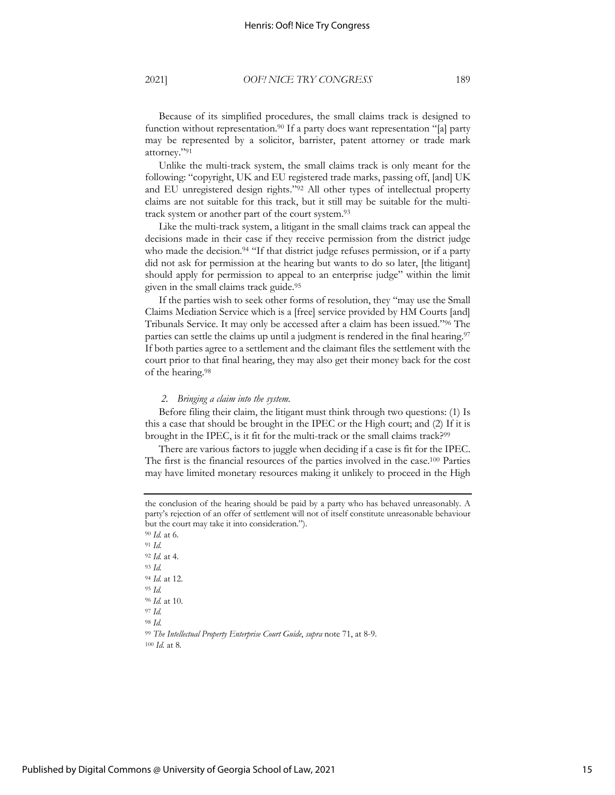2021] *OOF! NICE TRY CONGRESS* 189

Unlike the multi-track system, the small claims track is only meant for the following: "copyright, UK and EU registered trade marks, passing off, [and] UK and EU unregistered design rights."92 All other types of intellectual property claims are not suitable for this track, but it still may be suitable for the multitrack system or another part of the court system.93

Like the multi-track system, a litigant in the small claims track can appeal the decisions made in their case if they receive permission from the district judge who made the decision.<sup>94</sup> "If that district judge refuses permission, or if a party did not ask for permission at the hearing but wants to do so later, [the litigant] should apply for permission to appeal to an enterprise judge" within the limit given in the small claims track guide.95

If the parties wish to seek other forms of resolution, they "may use the Small Claims Mediation Service which is a [free] service provided by HM Courts [and] Tribunals Service. It may only be accessed after a claim has been issued."96 The parties can settle the claims up until a judgment is rendered in the final hearing.<sup>97</sup> If both parties agree to a settlement and the claimant files the settlement with the court prior to that final hearing, they may also get their money back for the cost of the hearing.98

#### *2. Bringing a claim into the system.*

Before filing their claim, the litigant must think through two questions: (1) Is this a case that should be brought in the IPEC or the High court; and (2) If it is brought in the IPEC, is it fit for the multi-track or the small claims track?99

There are various factors to juggle when deciding if a case is fit for the IPEC. The first is the financial resources of the parties involved in the case.100 Parties may have limited monetary resources making it unlikely to proceed in the High

 *Id.* at 6. 91 *Id. Id.* at 4. 93 *Id. Id.* at 12. 95 *Id. Id.* at 10. 97 *Id.* <sup>98</sup> *Id. The Intellectual Property Enterprise Court Guide*, *supra* note 71, at 8-9. 100 *Id.* at 8*.*

the conclusion of the hearing should be paid by a party who has behaved unreasonably. A party's rejection of an offer of settlement will not of itself constitute unreasonable behaviour but the court may take it into consideration.").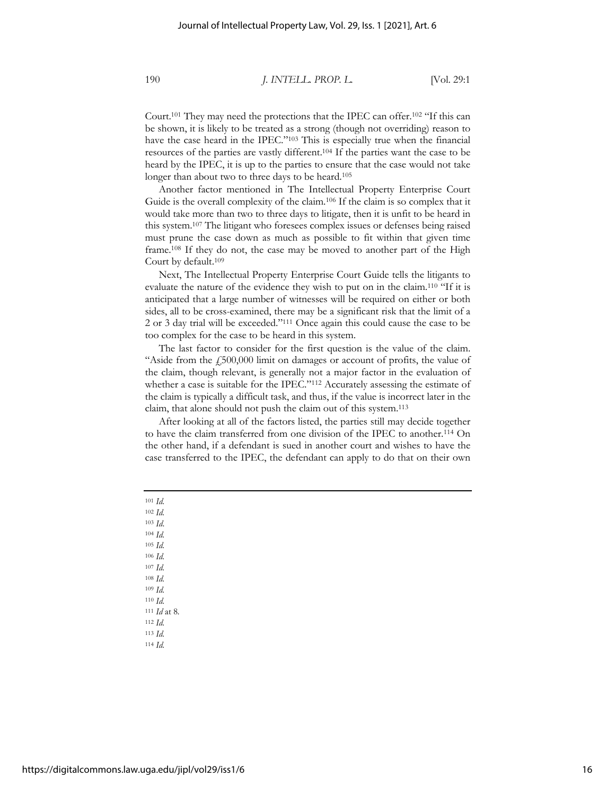Court.101 They may need the protections that the IPEC can offer.102 "If this can be shown, it is likely to be treated as a strong (though not overriding) reason to have the case heard in the IPEC."<sup>103</sup> This is especially true when the financial resources of the parties are vastly different.104 If the parties want the case to be heard by the IPEC, it is up to the parties to ensure that the case would not take longer than about two to three days to be heard.<sup>105</sup>

Another factor mentioned in The Intellectual Property Enterprise Court Guide is the overall complexity of the claim.106 If the claim is so complex that it would take more than two to three days to litigate, then it is unfit to be heard in this system.107 The litigant who foresees complex issues or defenses being raised must prune the case down as much as possible to fit within that given time frame.108 If they do not, the case may be moved to another part of the High Court by default.109

Next, The Intellectual Property Enterprise Court Guide tells the litigants to evaluate the nature of the evidence they wish to put on in the claim.110 "If it is anticipated that a large number of witnesses will be required on either or both sides, all to be cross-examined, there may be a significant risk that the limit of a 2 or 3 day trial will be exceeded."111 Once again this could cause the case to be too complex for the case to be heard in this system.

The last factor to consider for the first question is the value of the claim. "Aside from the £500,000 limit on damages or account of profits, the value of the claim, though relevant, is generally not a major factor in the evaluation of whether a case is suitable for the IPEC."<sup>112</sup> Accurately assessing the estimate of the claim is typically a difficult task, and thus, if the value is incorrect later in the claim, that alone should not push the claim out of this system.113

After looking at all of the factors listed, the parties still may decide together to have the claim transferred from one division of the IPEC to another.114 On the other hand, if a defendant is sued in another court and wishes to have the case transferred to the IPEC, the defendant can apply to do that on their own

<sup>101</sup> *Id.*

<sup>102</sup> *Id.* <sup>103</sup> *Id*.

<sup>104</sup> *Id.*

<sup>105</sup> *Id.*

<sup>106</sup> *Id.*

<sup>107</sup> *Id.* <sup>108</sup> *Id.*

<sup>109</sup> *Id.*

<sup>110</sup> *Id.*

<sup>111</sup> *Id* at 8*.* <sup>112</sup> *Id.*

<sup>113</sup> *Id.*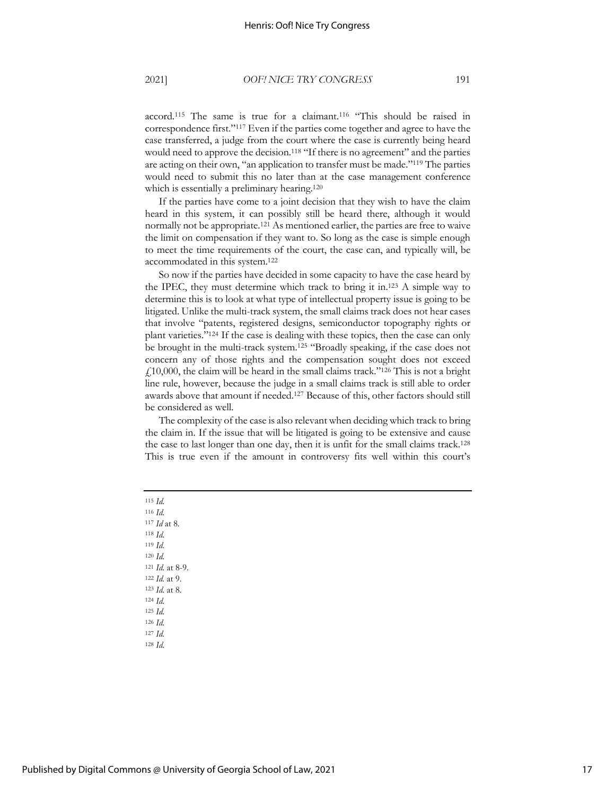accord.115 The same is true for a claimant.116 "This should be raised in correspondence first."117 Even if the parties come together and agree to have the case transferred, a judge from the court where the case is currently being heard would need to approve the decision.<sup>118</sup> "If there is no agreement" and the parties are acting on their own, "an application to transfer must be made."119 The parties would need to submit this no later than at the case management conference which is essentially a preliminary hearing.<sup>120</sup>

If the parties have come to a joint decision that they wish to have the claim heard in this system, it can possibly still be heard there, although it would normally not be appropriate.121 As mentioned earlier, the parties are free to waive the limit on compensation if they want to. So long as the case is simple enough to meet the time requirements of the court, the case can, and typically will, be accommodated in this system.122

So now if the parties have decided in some capacity to have the case heard by the IPEC, they must determine which track to bring it in.123 A simple way to determine this is to look at what type of intellectual property issue is going to be litigated. Unlike the multi-track system, the small claims track does not hear cases that involve "patents, registered designs, semiconductor topography rights or plant varieties."124 If the case is dealing with these topics, then the case can only be brought in the multi-track system.125 "Broadly speaking, if the case does not concern any of those rights and the compensation sought does not exceed  $f<sub>10</sub>,000$ , the claim will be heard in the small claims track."<sup>126</sup> This is not a bright line rule, however, because the judge in a small claims track is still able to order awards above that amount if needed.127 Because of this, other factors should still be considered as well.

The complexity of the case is also relevant when deciding which track to bring the claim in. If the issue that will be litigated is going to be extensive and cause the case to last longer than one day, then it is unfit for the small claims track.128 This is true even if the amount in controversy fits well within this court's

<sup>115</sup> *Id.* <sup>116</sup> *Id.* <sup>117</sup> *Id* at 8*.* <sup>118</sup> *Id.* <sup>119</sup> *Id.* <sup>120</sup> *Id.* <sup>121</sup> *Id.* at 8-9. <sup>122</sup> *Id.* at 9. <sup>123</sup> *Id.* at 8. <sup>124</sup> *Id.* <sup>125</sup> *Id.* <sup>126</sup> *Id.* <sup>127</sup> *Id.* <sup>128</sup> *Id.*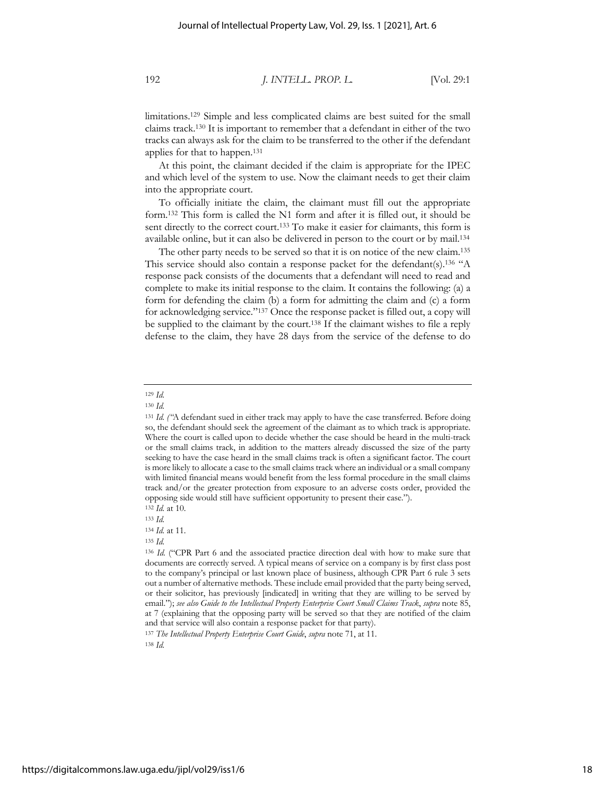limitations.129 Simple and less complicated claims are best suited for the small claims track.130 It is important to remember that a defendant in either of the two tracks can always ask for the claim to be transferred to the other if the defendant applies for that to happen.131

At this point, the claimant decided if the claim is appropriate for the IPEC and which level of the system to use. Now the claimant needs to get their claim into the appropriate court.

To officially initiate the claim, the claimant must fill out the appropriate form.132 This form is called the N1 form and after it is filled out, it should be sent directly to the correct court.133 To make it easier for claimants, this form is available online, but it can also be delivered in person to the court or by mail.134

The other party needs to be served so that it is on notice of the new claim.<sup>135</sup> This service should also contain a response packet for the defendant(s).<sup>136</sup> "A response pack consists of the documents that a defendant will need to read and complete to make its initial response to the claim. It contains the following: (a) a form for defending the claim (b) a form for admitting the claim and (c) a form for acknowledging service."137 Once the response packet is filled out, a copy will be supplied to the claimant by the court.138 If the claimant wishes to file a reply defense to the claim, they have 28 days from the service of the defense to do

#### <sup>129</sup> *Id.*

- <sup>133</sup> *Id.*
- <sup>134</sup> *Id.* at 11.

<sup>135</sup> *Id.*

<sup>137</sup> *The Intellectual Property Enterprise Court Guide*, *supra* note 71, at 11. 138 *Id.*

<sup>130</sup> *Id.*

<sup>131</sup> *Id.* ("A defendant sued in either track may apply to have the case transferred. Before doing so, the defendant should seek the agreement of the claimant as to which track is appropriate. Where the court is called upon to decide whether the case should be heard in the multi-track or the small claims track, in addition to the matters already discussed the size of the party seeking to have the case heard in the small claims track is often a significant factor. The court is more likely to allocate a case to the small claims track where an individual or a small company with limited financial means would benefit from the less formal procedure in the small claims track and/or the greater protection from exposure to an adverse costs order, provided the opposing side would still have sufficient opportunity to present their case.").

<sup>132</sup> *Id.* at 10.

<sup>136</sup> *Id.* ("CPR Part 6 and the associated practice direction deal with how to make sure that documents are correctly served. A typical means of service on a company is by first class post to the company's principal or last known place of business, although CPR Part 6 rule 3 sets out a number of alternative methods. These include email provided that the party being served, or their solicitor, has previously [indicated] in writing that they are willing to be served by email."); *see also Guide to the Intellectual Property Enterprise Court Small Claims Track*, *supra* note 85, at 7 (explaining that the opposing party will be served so that they are notified of the claim and that service will also contain a response packet for that party).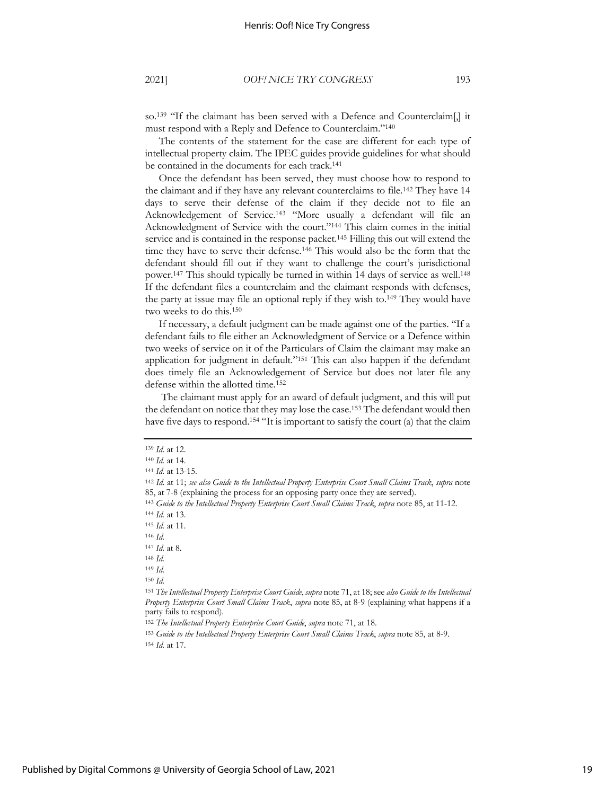The contents of the statement for the case are different for each type of intellectual property claim. The IPEC guides provide guidelines for what should be contained in the documents for each track. 141

Once the defendant has been served, they must choose how to respond to the claimant and if they have any relevant counterclaims to file.142 They have 14 days to serve their defense of the claim if they decide not to file an Acknowledgement of Service.143 "More usually a defendant will file an Acknowledgment of Service with the court."144 This claim comes in the initial service and is contained in the response packet.<sup>145</sup> Filling this out will extend the time they have to serve their defense.146 This would also be the form that the defendant should fill out if they want to challenge the court's jurisdictional power.147 This should typically be turned in within 14 days of service as well.148 If the defendant files a counterclaim and the claimant responds with defenses, the party at issue may file an optional reply if they wish to.149 They would have two weeks to do this.150

If necessary, a default judgment can be made against one of the parties. "If a defendant fails to file either an Acknowledgment of Service or a Defence within two weeks of service on it of the Particulars of Claim the claimant may make an application for judgment in default."151 This can also happen if the defendant does timely file an Acknowledgement of Service but does not later file any defense within the allotted time.152

The claimant must apply for an award of default judgment, and this will put the defendant on notice that they may lose the case.153 The defendant would then have five days to respond.<sup>154</sup> "It is important to satisfy the court (a) that the claim

<sup>139</sup> *Id.* at 12.

<sup>140</sup> *Id.* at 14.

<sup>141</sup> *Id.* at 13-15.

<sup>142</sup> *Id.* at 11; *see also Guide to the Intellectual Property Enterprise Court Small Claims Track*, *supra* note

<sup>85,</sup> at 7-8 (explaining the process for an opposing party once they are served). 143 *Guide to the Intellectual Property Enterprise Court Small Claims Track*, *supra* note 85, at 11-12.

<sup>144</sup> *Id.* at 13.

<sup>145</sup> *Id.* at 11.

<sup>146</sup> *Id.*

<sup>147</sup> *Id.* at 8.

<sup>148</sup> *Id.*

<sup>149</sup> *Id.*

<sup>150</sup> *Id.*

<sup>151</sup> *The Intellectual Property Enterprise Court Guide*, *supra* note 71, at 18; see *also Guide to the Intellectual Property Enterprise Court Small Claims Track*, *supra* note 85, at 8-9 (explaining what happens if a party fails to respond).

<sup>152</sup> *The Intellectual Property Enterprise Court Guide*, *supra* note 71, at 18.

<sup>153</sup> *Guide to the Intellectual Property Enterprise Court Small Claims Track*, *supra* note 85, at 8-9.

<sup>154</sup> *Id.* at 17.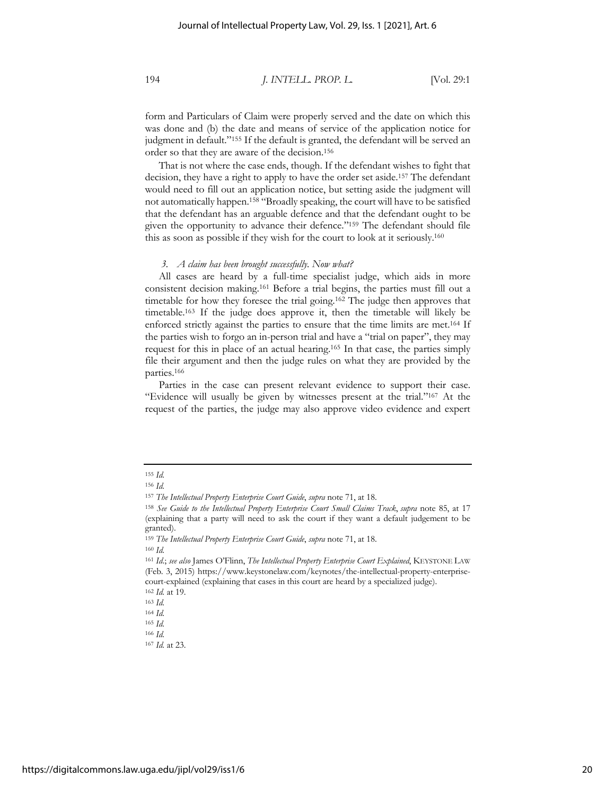form and Particulars of Claim were properly served and the date on which this was done and (b) the date and means of service of the application notice for judgment in default."155 If the default is granted, the defendant will be served an order so that they are aware of the decision.156

That is not where the case ends, though. If the defendant wishes to fight that decision, they have a right to apply to have the order set aside.157 The defendant would need to fill out an application notice, but setting aside the judgment will not automatically happen.158 "Broadly speaking, the court will have to be satisfied that the defendant has an arguable defence and that the defendant ought to be given the opportunity to advance their defence."159 The defendant should file this as soon as possible if they wish for the court to look at it seriously.160

*3. A claim has been brought successfully. Now what?*

All cases are heard by a full-time specialist judge, which aids in more consistent decision making.161 Before a trial begins, the parties must fill out a timetable for how they foresee the trial going.162 The judge then approves that timetable.163 If the judge does approve it, then the timetable will likely be enforced strictly against the parties to ensure that the time limits are met.164 If the parties wish to forgo an in-person trial and have a "trial on paper", they may request for this in place of an actual hearing.165 In that case, the parties simply file their argument and then the judge rules on what they are provided by the parties.166

Parties in the case can present relevant evidence to support their case. "Evidence will usually be given by witnesses present at the trial."167 At the request of the parties, the judge may also approve video evidence and expert

<sup>165</sup> *Id.*

<sup>166</sup> *Id.* <sup>167</sup> *Id.* at 23.

<sup>155</sup> *Id.*

<sup>156</sup> *Id.*

<sup>157</sup> *The Intellectual Property Enterprise Court Guide*, *supra* note 71, at 18.

<sup>158</sup> *See Guide to the Intellectual Property Enterprise Court Small Claims Track*, *supra* note 85, at 17 (explaining that a party will need to ask the court if they want a default judgement to be granted).

<sup>159</sup> *The Intellectual Property Enterprise Court Guide*, *supra* note 71, at 18. 160 *Id.*

<sup>161</sup> *Id*.; *see also* James O'Flinn, *The Intellectual Property Enterprise Court Explained*, KEYSTONE LAW (Feb. 3, 2015) https://www.keystonelaw.com/keynotes/the-intellectual-property-enterprisecourt-explained (explaining that cases in this court are heard by a specialized judge). <sup>162</sup> *Id.* at 19. 163 *Id.*

<sup>164</sup> *Id.*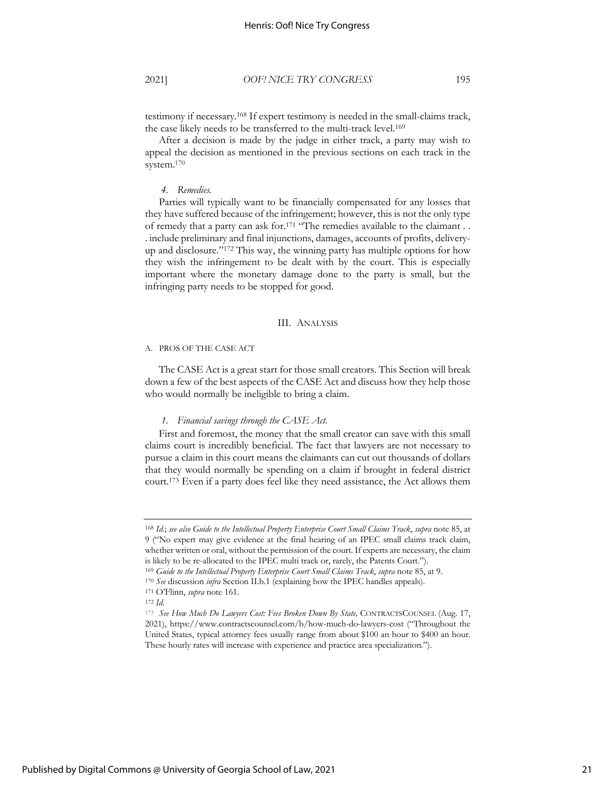testimony if necessary.168 If expert testimony is needed in the small-claims track, the case likely needs to be transferred to the multi-track level.169

After a decision is made by the judge in either track, a party may wish to appeal the decision as mentioned in the previous sections on each track in the system.170

#### *4. Remedies.*

Parties will typically want to be financially compensated for any losses that they have suffered because of the infringement; however, this is not the only type of remedy that a party can ask for.171 "The remedies available to the claimant . . . include preliminary and final injunctions, damages, accounts of profits, deliveryup and disclosure."172 This way, the winning party has multiple options for how they wish the infringement to be dealt with by the court. This is especially important where the monetary damage done to the party is small, but the infringing party needs to be stopped for good.

#### III. ANALYSIS

#### A. PROS OF THE CASE ACT

The CASE Act is a great start for those small creators. This Section will break down a few of the best aspects of the CASE Act and discuss how they help those who would normally be ineligible to bring a claim.

#### *1. Financial savings through the CASE Act.*

First and foremost, the money that the small creator can save with this small claims court is incredibly beneficial. The fact that lawyers are not necessary to pursue a claim in this court means the claimants can cut out thousands of dollars that they would normally be spending on a claim if brought in federal district court.173 Even if a party does feel like they need assistance, the Act allows them

<sup>168</sup> *Id.*; *see also Guide to the Intellectual Property Enterprise Court Small Claims Track*, *supra* note 85, at 9 ("No expert may give evidence at the final hearing of an IPEC small claims track claim, whether written or oral, without the permission of the court. If experts are necessary, the claim is likely to be re-allocated to the IPEC multi track or, rarely, the Patents Court.").

<sup>169</sup> *Guide to the Intellectual Property Enterprise Court Small Claims Track*, *supra* note 85, at 9. 170 *See* discussion *infra* Section II.b.1 (explaining how the IPEC handles appeals).

<sup>171</sup> O'Flinn, *supra* note 161.

<sup>172</sup> *Id.*

<sup>173</sup> *See How Much Do Lawyers Cost: Fees Broken Down By State,* CONTRACTSCOUNSEL (Aug. 17, 2021), https://www.contractscounsel.com/b/how-much-do-lawyers-cost ("Throughout the United States, typical attorney fees usually range from about \$100 an hour to \$400 an hour. These hourly rates will increase with experience and practice area specialization.").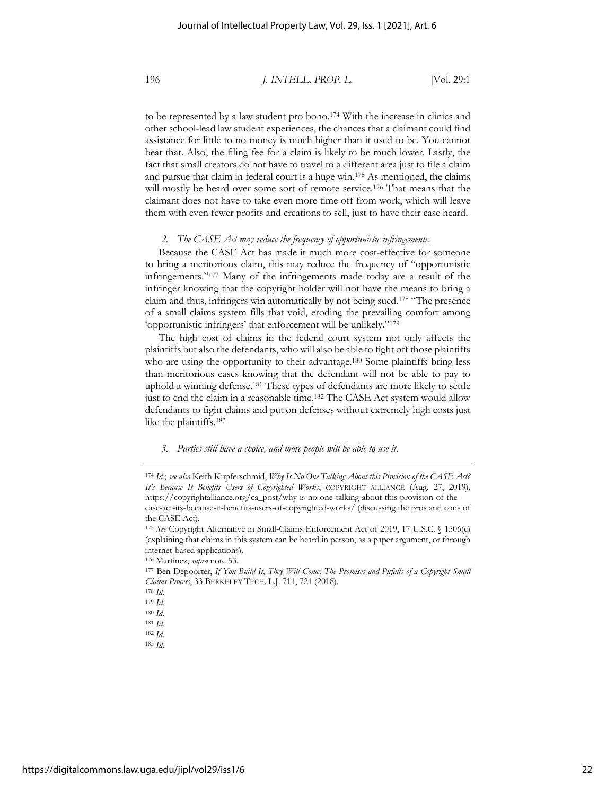to be represented by a law student pro bono.174 With the increase in clinics and other school-lead law student experiences, the chances that a claimant could find assistance for little to no money is much higher than it used to be. You cannot beat that. Also, the filing fee for a claim is likely to be much lower. Lastly, the fact that small creators do not have to travel to a different area just to file a claim and pursue that claim in federal court is a huge win.175 As mentioned, the claims will mostly be heard over some sort of remote service.<sup>176</sup> That means that the claimant does not have to take even more time off from work, which will leave them with even fewer profits and creations to sell, just to have their case heard.

#### *2. The CASE Act may reduce the frequency of opportunistic infringements.*

Because the CASE Act has made it much more cost-effective for someone to bring a meritorious claim, this may reduce the frequency of "opportunistic infringements."177 Many of the infringements made today are a result of the infringer knowing that the copyright holder will not have the means to bring a claim and thus, infringers win automatically by not being sued.178 "The presence of a small claims system fills that void, eroding the prevailing comfort among 'opportunistic infringers' that enforcement will be unlikely."179

The high cost of claims in the federal court system not only affects the plaintiffs but also the defendants, who will also be able to fight off those plaintiffs who are using the opportunity to their advantage.<sup>180</sup> Some plaintiffs bring less than meritorious cases knowing that the defendant will not be able to pay to uphold a winning defense.<sup>181</sup> These types of defendants are more likely to settle just to end the claim in a reasonable time.<sup>182</sup> The CASE Act system would allow defendants to fight claims and put on defenses without extremely high costs just like the plaintiffs.183

#### *3. Parties still have a choice, and more people will be able to use it.*

<sup>174</sup> *Id.*; *see also* Keith Kupferschmid, *Why Is No One Talking About this Provision of the CASE Act? It's Because It Benefits Users of Copyrighted Works*, COPYRIGHT ALLIANCE (Aug. 27, 2019), https://copyrightalliance.org/ca\_post/why-is-no-one-talking-about-this-provision-of-thecase-act-its-because-it-benefits-users-of-copyrighted-works/ (discussing the pros and cons of the CASE Act).

<sup>175</sup> *See* Copyright Alternative in Small-Claims Enforcement Act of 2019, 17 U.S.C. § 1506(c) (explaining that claims in this system can be heard in person, as a paper argument, or through internet-based applications). 176 Martinez, *supra* note 53.

<sup>177</sup> Ben Depoorter, *If You Build It, They Will Come: The Promises and Pitfalls of a Copyright Small Claims Process*, 33 BERKELEY TECH. L.J. 711, 721 (2018).

<sup>178</sup> *Id.*

<sup>179</sup> *Id.*

<sup>180</sup> *Id.* <sup>181</sup> *Id.*

<sup>182</sup> *Id.* 

<sup>183</sup> *Id.*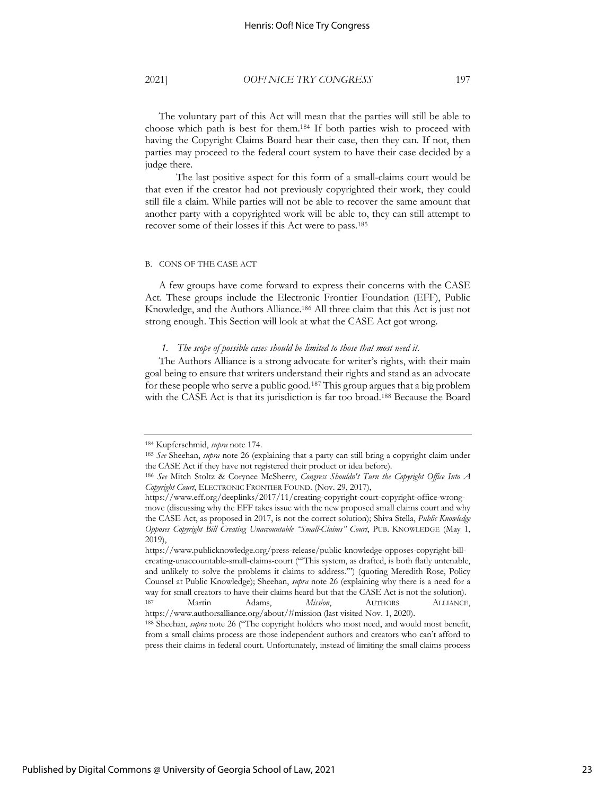#### 2021] *OOF! NICE TRY CONGRESS* 197

The voluntary part of this Act will mean that the parties will still be able to choose which path is best for them.184 If both parties wish to proceed with having the Copyright Claims Board hear their case, then they can. If not, then parties may proceed to the federal court system to have their case decided by a judge there.

The last positive aspect for this form of a small-claims court would be that even if the creator had not previously copyrighted their work, they could still file a claim. While parties will not be able to recover the same amount that another party with a copyrighted work will be able to, they can still attempt to recover some of their losses if this Act were to pass.185

#### B. CONS OF THE CASE ACT

A few groups have come forward to express their concerns with the CASE Act. These groups include the Electronic Frontier Foundation (EFF), Public Knowledge, and the Authors Alliance.186 All three claim that this Act is just not strong enough. This Section will look at what the CASE Act got wrong.

*1. The scope of possible cases should be limited to those that most need it.*

The Authors Alliance is a strong advocate for writer's rights, with their main goal being to ensure that writers understand their rights and stand as an advocate for these people who serve a public good.187 This group argues that a big problem with the CASE Act is that its jurisdiction is far too broad.188 Because the Board

<sup>&</sup>lt;sup>184</sup> Kupferschmid, *supra* note 174.<br><sup>185</sup> *See* Sheehan, *supra* note 26 (explaining that a party can still bring a copyright claim under the CASE Act if they have not registered their product or idea before).

<sup>186</sup> *See* Mitch Stoltz & Corynee McSherry, *Congress Shouldn't Turn the Copyright Office Into A Copyright Court*, ELECTRONIC FRONTIER FOUND. (Nov. 29, 2017),

https://www.eff.org/deeplinks/2017/11/creating-copyright-court-copyright-office-wrongmove (discussing why the EFF takes issue with the new proposed small claims court and why the CASE Act, as proposed in 2017, is not the correct solution); Shiva Stella, *Public Knowledge Opposes Copyright Bill Creating Unaccountable "Small-Claims" Court*, PUB. KNOWLEDGE (May 1, 2019),

https://www.publicknowledge.org/press-release/public-knowledge-opposes-copyright-billcreating-unaccountable-small-claims-court ("'This system, as drafted, is both flatly untenable, and unlikely to solve the problems it claims to address.'") (quoting Meredith Rose, Policy Counsel at Public Knowledge); Sheehan, *supra* note 26 (explaining why there is a need for a way for small creators to have their claims heard but that the CASE Act is not the solution).<br>Microgential Microgential Microgential Microgential Microgential Microgential Microgential Microgential Microgential Microgentia <sup>187</sup> Martin Adams, *Mission*, AUTHORS ALLIANCE,

https://www.authorsalliance.org/about/#mission (last visited Nov. 1, 2020). <sup>188</sup> Sheehan, *supra* note 26 ("The copyright holders who most need, and would most benefit,

from a small claims process are those independent authors and creators who can't afford to press their claims in federal court. Unfortunately, instead of limiting the small claims process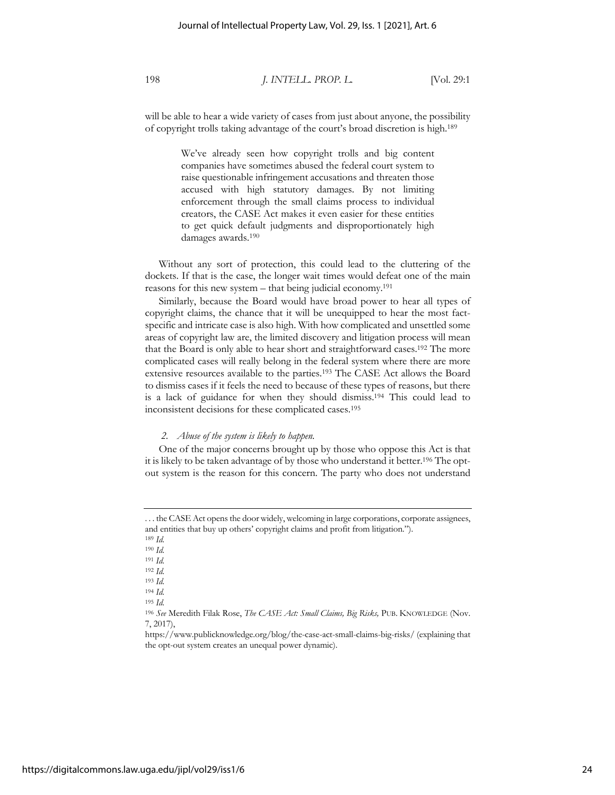will be able to hear a wide variety of cases from just about anyone, the possibility of copyright trolls taking advantage of the court's broad discretion is high.189

> We've already seen how copyright trolls and big content companies have sometimes abused the federal court system to raise questionable infringement accusations and threaten those accused with high statutory damages. By not limiting enforcement through the small claims process to individual creators, the CASE Act makes it even easier for these entities to get quick default judgments and disproportionately high damages awards.190

Without any sort of protection, this could lead to the cluttering of the dockets. If that is the case, the longer wait times would defeat one of the main reasons for this new system – that being judicial economy.191

Similarly, because the Board would have broad power to hear all types of copyright claims, the chance that it will be unequipped to hear the most factspecific and intricate case is also high. With how complicated and unsettled some areas of copyright law are, the limited discovery and litigation process will mean that the Board is only able to hear short and straightforward cases.192 The more complicated cases will really belong in the federal system where there are more extensive resources available to the parties.193 The CASE Act allows the Board to dismiss cases if it feels the need to because of these types of reasons, but there is a lack of guidance for when they should dismiss.194 This could lead to inconsistent decisions for these complicated cases.195

#### *2. Abuse of the system is likely to happen.*

One of the major concerns brought up by those who oppose this Act is that it is likely to be taken advantage of by those who understand it better.196 The optout system is the reason for this concern. The party who does not understand

<sup>189</sup> *Id.* <sup>190</sup> *Id.* 

<sup>. . .</sup> the CASE Act opens the door widely, welcoming in large corporations, corporate assignees, and entities that buy up others' copyright claims and profit from litigation.").

<sup>191</sup> *Id.*

<sup>192</sup> *Id.* 

<sup>193</sup> *Id.* 

<sup>194</sup> *Id.* 

<sup>195</sup> *Id.* 

<sup>196</sup> *See* Meredith Filak Rose, *The CASE Act: Small Claims, Big Risks,* PUB. KNOWLEDGE (Nov. 7, 2017),

https://www.publicknowledge.org/blog/the-case-act-small-claims-big-risks/ (explaining that the opt-out system creates an unequal power dynamic).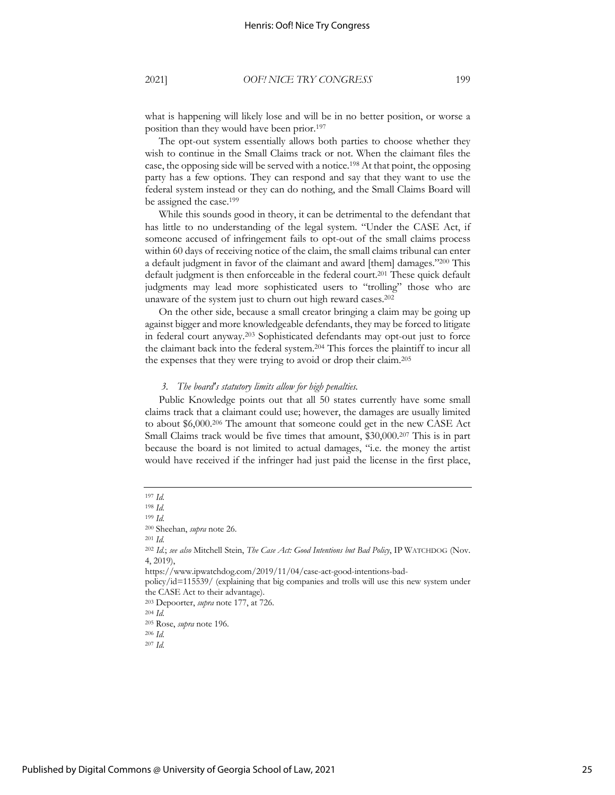what is happening will likely lose and will be in no better position, or worse a position than they would have been prior.197

The opt-out system essentially allows both parties to choose whether they wish to continue in the Small Claims track or not. When the claimant files the case, the opposing side will be served with a notice.198 At that point, the opposing party has a few options. They can respond and say that they want to use the federal system instead or they can do nothing, and the Small Claims Board will be assigned the case.199

While this sounds good in theory, it can be detrimental to the defendant that has little to no understanding of the legal system. "Under the CASE Act, if someone accused of infringement fails to opt-out of the small claims process within 60 days of receiving notice of the claim, the small claims tribunal can enter a default judgment in favor of the claimant and award [them] damages."200 This default judgment is then enforceable in the federal court.201 These quick default judgments may lead more sophisticated users to "trolling" those who are unaware of the system just to churn out high reward cases.202

On the other side, because a small creator bringing a claim may be going up against bigger and more knowledgeable defendants, they may be forced to litigate in federal court anyway.203 Sophisticated defendants may opt-out just to force the claimant back into the federal system.204 This forces the plaintiff to incur all the expenses that they were trying to avoid or drop their claim.205

#### *3. The board's statutory limits allow for high penalties.*

Public Knowledge points out that all 50 states currently have some small claims track that a claimant could use; however, the damages are usually limited to about \$6,000.206 The amount that someone could get in the new CASE Act Small Claims track would be five times that amount, \$30,000.207 This is in part because the board is not limited to actual damages, "i.e. the money the artist would have received if the infringer had just paid the license in the first place,

<sup>201</sup> *Id.* 

<sup>204</sup> *Id.* 

<sup>206</sup> *Id.*

<sup>197</sup> *Id.*

<sup>198</sup> *Id.*

<sup>199</sup> *Id.*

<sup>200</sup> Sheehan, *supra* note 26.

<sup>202</sup> *Id.*; *see also* Mitchell Stein, *The Case Act: Good Intentions but Bad Policy*, IP WATCHDOG (Nov. 4, 2019),

https://www.ipwatchdog.com/2019/11/04/case-act-good-intentions-bad-

policy/id=115539/ (explaining that big companies and trolls will use this new system under the CASE Act to their advantage).

<sup>203</sup> Depoorter, *supra* note 177, at 726.

<sup>205</sup> Rose, *supra* note 196.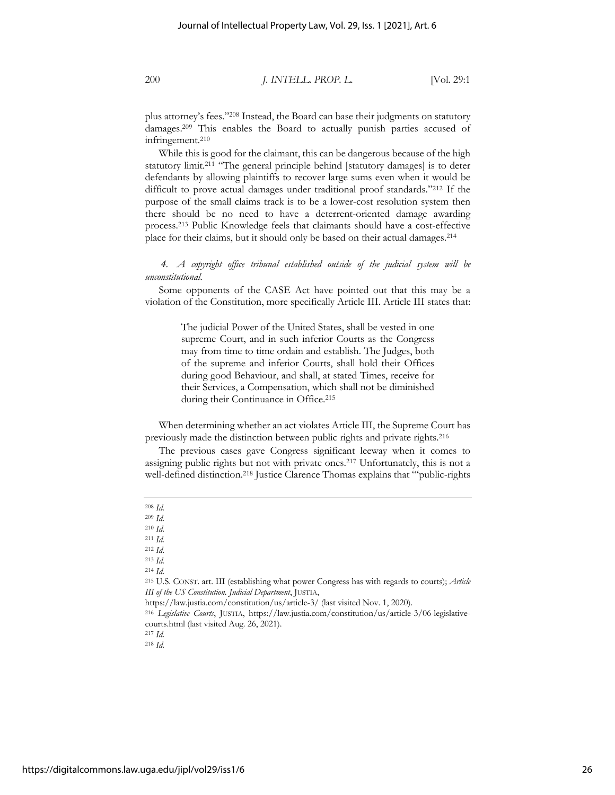plus attorney's fees."208 Instead, the Board can base their judgments on statutory damages.209 This enables the Board to actually punish parties accused of infringement.210

While this is good for the claimant, this can be dangerous because of the high statutory limit.211 "The general principle behind [statutory damages] is to deter defendants by allowing plaintiffs to recover large sums even when it would be difficult to prove actual damages under traditional proof standards."212 If the purpose of the small claims track is to be a lower-cost resolution system then there should be no need to have a deterrent-oriented damage awarding process.213 Public Knowledge feels that claimants should have a cost-effective place for their claims, but it should only be based on their actual damages.214

*4. A copyright office tribunal established outside of the judicial system will be unconstitutional.*

Some opponents of the CASE Act have pointed out that this may be a violation of the Constitution, more specifically Article III. Article III states that:

> The judicial Power of the United States, shall be vested in one supreme Court, and in such inferior Courts as the Congress may from time to time ordain and establish. The Judges, both of the supreme and inferior Courts, shall hold their Offices during good Behaviour, and shall, at stated Times, receive for their Services, a Compensation, which shall not be diminished during their Continuance in Office.215

When determining whether an act violates Article III, the Supreme Court has previously made the distinction between public rights and private rights.216

The previous cases gave Congress significant leeway when it comes to assigning public rights but not with private ones.217 Unfortunately, this is not a well-defined distinction.<sup>218</sup> Justice Clarence Thomas explains that ""public-rights

<sup>210</sup> *Id.*

<sup>211</sup> *Id.*

<sup>212</sup> *Id.* <sup>213</sup> *Id.*

<sup>214</sup> *Id.*

<sup>208</sup> *Id.*

<sup>209</sup> *Id.*

<sup>215</sup> U.S. CONST. art. III (establishing what power Congress has with regards to courts); *Article III of the US Constitution. Judicial Department*, JUSTIA,

https://law.justia.com/constitution/us/article-3/ (last visited Nov. 1, 2020). 216 *Legislative Courts*, JUSTIA, https://law.justia.com/constitution/us/article-3/06-legislativecourts.html (last visited Aug. 26, 2021).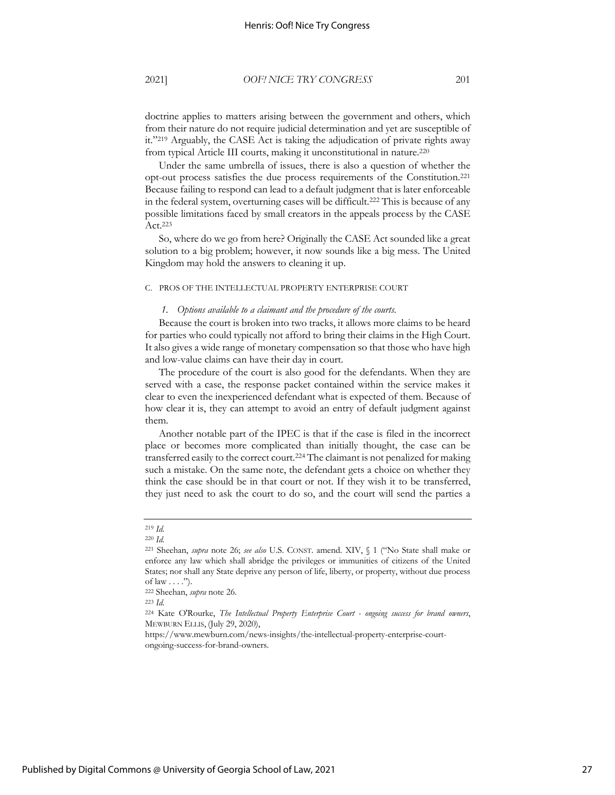Under the same umbrella of issues, there is also a question of whether the opt-out process satisfies the due process requirements of the Constitution.221 Because failing to respond can lead to a default judgment that is later enforceable in the federal system, overturning cases will be difficult.222 This is because of any possible limitations faced by small creators in the appeals process by the CASE Act.223

So, where do we go from here? Originally the CASE Act sounded like a great solution to a big problem; however, it now sounds like a big mess. The United Kingdom may hold the answers to cleaning it up.

#### C. PROS OF THE INTELLECTUAL PROPERTY ENTERPRISE COURT

#### *1. Options available to a claimant and the procedure of the courts.*

Because the court is broken into two tracks, it allows more claims to be heard for parties who could typically not afford to bring their claims in the High Court. It also gives a wide range of monetary compensation so that those who have high and low-value claims can have their day in court.

The procedure of the court is also good for the defendants. When they are served with a case, the response packet contained within the service makes it clear to even the inexperienced defendant what is expected of them. Because of how clear it is, they can attempt to avoid an entry of default judgment against them.

Another notable part of the IPEC is that if the case is filed in the incorrect place or becomes more complicated than initially thought, the case can be transferred easily to the correct court.224 The claimant is not penalized for making such a mistake. On the same note, the defendant gets a choice on whether they think the case should be in that court or not. If they wish it to be transferred, they just need to ask the court to do so, and the court will send the parties a

<sup>219</sup> *Id.*

<sup>220</sup> *Id.*

<sup>221</sup> Sheehan, *supra* note 26; *see also* U.S. CONST. amend. XIV, § 1 ("No State shall make or enforce any law which shall abridge the privileges or immunities of citizens of the United States; nor shall any State deprive any person of life, liberty, or property, without due process of law  $\dots$ .").

<sup>222</sup> Sheehan, *supra* note 26.

<sup>224</sup> Kate O'Rourke, *The Intellectual Property Enterprise Court - ongoing success for brand owners*, MEWBURN ELLIS, (July 29, 2020),

https://www.mewburn.com/news-insights/the-intellectual-property-enterprise-courtongoing-success-for-brand-owners.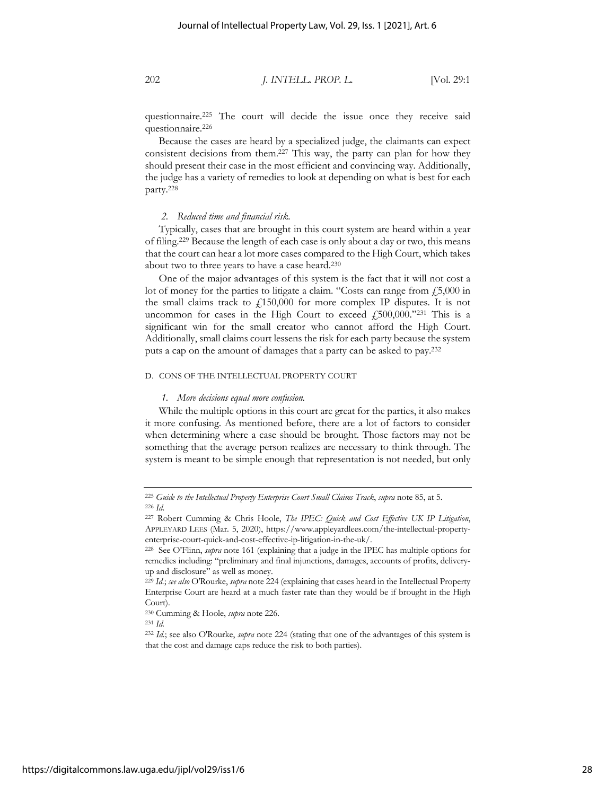questionnaire.225 The court will decide the issue once they receive said questionnaire.226

Because the cases are heard by a specialized judge, the claimants can expect consistent decisions from them.227 This way, the party can plan for how they should present their case in the most efficient and convincing way. Additionally, the judge has a variety of remedies to look at depending on what is best for each party.228

#### *2. Reduced time and financial risk.*

Typically, cases that are brought in this court system are heard within a year of filing.229 Because the length of each case is only about a day or two, this means that the court can hear a lot more cases compared to the High Court, which takes about two to three years to have a case heard.230

One of the major advantages of this system is the fact that it will not cost a lot of money for the parties to litigate a claim. "Costs can range from  $\sqrt{5,000}$  in the small claims track to  $f<sub>1</sub>150,000$  for more complex IP disputes. It is not uncommon for cases in the High Court to exceed  $f_1500000$ ."231 This is a significant win for the small creator who cannot afford the High Court. Additionally, small claims court lessens the risk for each party because the system puts a cap on the amount of damages that a party can be asked to pay.232

#### D. CONS OF THE INTELLECTUAL PROPERTY COURT

*1. More decisions equal more confusion.*

While the multiple options in this court are great for the parties, it also makes it more confusing. As mentioned before, there are a lot of factors to consider when determining where a case should be brought. Those factors may not be something that the average person realizes are necessary to think through. The system is meant to be simple enough that representation is not needed, but only

<sup>225</sup> *Guide to the Intellectual Property Enterprise Court Small Claims Track*, *supra* note 85, at 5. <sup>226</sup> *Id*.

<sup>227</sup> Robert Cumming & Chris Hoole, *The IPEC: Quick and Cost Effective UK IP Litigation*, APPLEYARD LEES (Mar. 5, 2020), https://www.appleyardlees.com/the-intellectual-propertyenterprise-court-quick-and-cost-effective-ip-litigation-in-the-uk/.

<sup>228</sup> See O'Flinn, *supra* note 161 (explaining that a judge in the IPEC has multiple options for remedies including: "preliminary and final injunctions, damages, accounts of profits, deliveryup and disclosure" as well as money.

<sup>229</sup> *Id.*; *see also* O'Rourke, *supra* note 224 (explaining that cases heard in the Intellectual Property Enterprise Court are heard at a much faster rate than they would be if brought in the High Court).

<sup>230</sup> Cumming & Hoole, *supra* note 226.

<sup>232</sup> *Id.*; see also O'Rourke, *supra* note 224 (stating that one of the advantages of this system is that the cost and damage caps reduce the risk to both parties).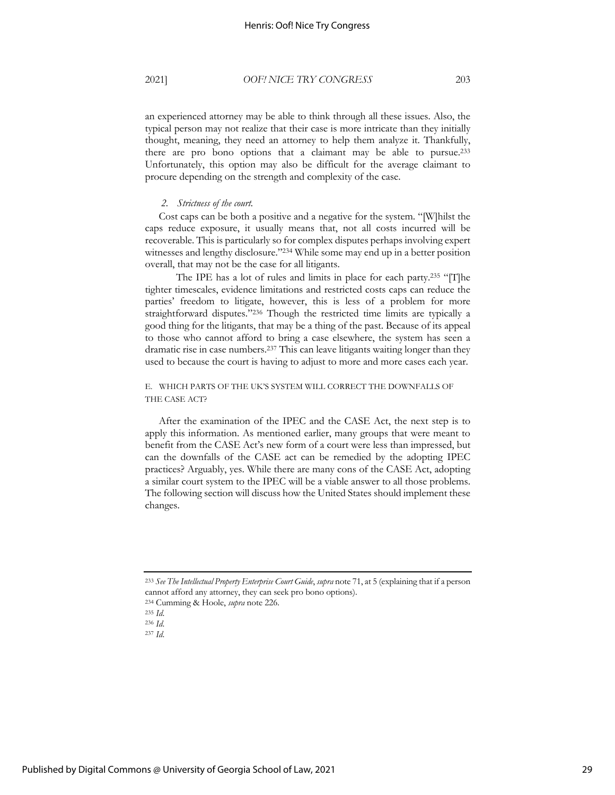an experienced attorney may be able to think through all these issues. Also, the typical person may not realize that their case is more intricate than they initially thought, meaning, they need an attorney to help them analyze it. Thankfully, there are pro bono options that a claimant may be able to pursue.233 Unfortunately, this option may also be difficult for the average claimant to procure depending on the strength and complexity of the case.

#### *2. Strictness of the court.*

Cost caps can be both a positive and a negative for the system. "[W]hilst the caps reduce exposure, it usually means that, not all costs incurred will be recoverable. This is particularly so for complex disputes perhaps involving expert witnesses and lengthy disclosure."234 While some may end up in a better position overall, that may not be the case for all litigants.

The IPE has a lot of rules and limits in place for each party.<sup>235</sup> "[T]he tighter timescales, evidence limitations and restricted costs caps can reduce the parties' freedom to litigate, however, this is less of a problem for more straightforward disputes."236 Though the restricted time limits are typically a good thing for the litigants, that may be a thing of the past. Because of its appeal to those who cannot afford to bring a case elsewhere, the system has seen a dramatic rise in case numbers.237 This can leave litigants waiting longer than they used to because the court is having to adjust to more and more cases each year.

#### E. WHICH PARTS OF THE UK'S SYSTEM WILL CORRECT THE DOWNFALLS OF THE CASE ACT?

After the examination of the IPEC and the CASE Act, the next step is to apply this information. As mentioned earlier, many groups that were meant to benefit from the CASE Act's new form of a court were less than impressed, but can the downfalls of the CASE act can be remedied by the adopting IPEC practices? Arguably, yes. While there are many cons of the CASE Act, adopting a similar court system to the IPEC will be a viable answer to all those problems. The following section will discuss how the United States should implement these changes.

<sup>236</sup> *Id*. 237 *Id*.

<sup>233</sup> *See The Intellectual Property Enterprise Court Guide*, *supra* note 71, at 5 (explaining that if a person cannot afford any attorney, they can seek pro bono options). <sup>234</sup> Cumming & Hoole, *supra* note 226.

<sup>235</sup> *Id*.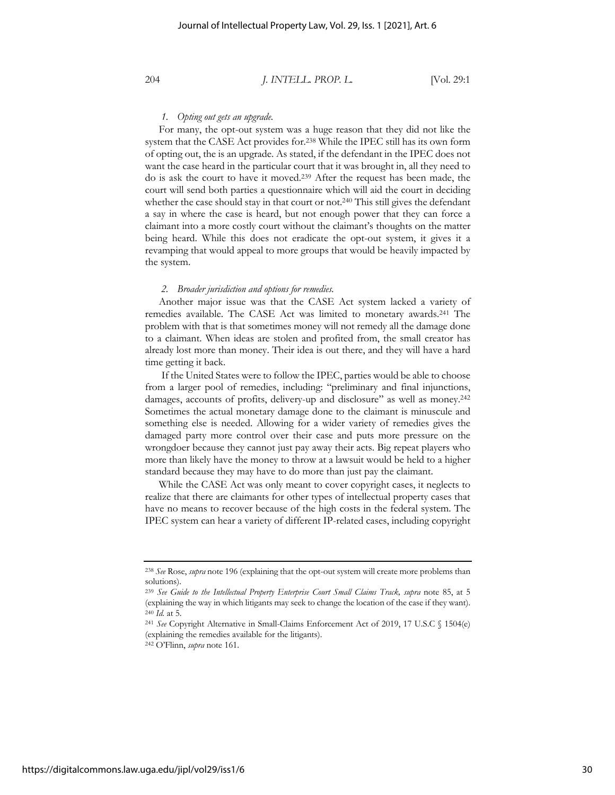#### *1. Opting out gets an upgrade.*

For many, the opt-out system was a huge reason that they did not like the system that the CASE Act provides for.238 While the IPEC still has its own form of opting out, the is an upgrade. As stated, if the defendant in the IPEC does not want the case heard in the particular court that it was brought in, all they need to do is ask the court to have it moved.239 After the request has been made, the court will send both parties a questionnaire which will aid the court in deciding whether the case should stay in that court or not.<sup>240</sup> This still gives the defendant a say in where the case is heard, but not enough power that they can force a claimant into a more costly court without the claimant's thoughts on the matter being heard. While this does not eradicate the opt-out system, it gives it a revamping that would appeal to more groups that would be heavily impacted by the system.

#### *2. Broader jurisdiction and options for remedies.*

Another major issue was that the CASE Act system lacked a variety of remedies available. The CASE Act was limited to monetary awards.241 The problem with that is that sometimes money will not remedy all the damage done to a claimant. When ideas are stolen and profited from, the small creator has already lost more than money. Their idea is out there, and they will have a hard time getting it back.

If the United States were to follow the IPEC, parties would be able to choose from a larger pool of remedies, including: "preliminary and final injunctions, damages, accounts of profits, delivery-up and disclosure" as well as money.242 Sometimes the actual monetary damage done to the claimant is minuscule and something else is needed. Allowing for a wider variety of remedies gives the damaged party more control over their case and puts more pressure on the wrongdoer because they cannot just pay away their acts. Big repeat players who more than likely have the money to throw at a lawsuit would be held to a higher standard because they may have to do more than just pay the claimant.

While the CASE Act was only meant to cover copyright cases, it neglects to realize that there are claimants for other types of intellectual property cases that have no means to recover because of the high costs in the federal system. The IPEC system can hear a variety of different IP-related cases, including copyright

<sup>238</sup> *See* Rose, *supra* note 196 (explaining that the opt-out system will create more problems than solutions).

<sup>239</sup> *See Guide to the Intellectual Property Enterprise Court Small Claims Track, supra* note 85, at 5 (explaining the way in which litigants may seek to change the location of the case if they want). <sup>240</sup> *Id.* at 5.

<sup>241</sup> *See* Copyright Alternative in Small-Claims Enforcement Act of 2019, 17 U.S.C § 1504(e) (explaining the remedies available for the litigants).

<sup>242</sup> O'Flinn, *supra* note 161.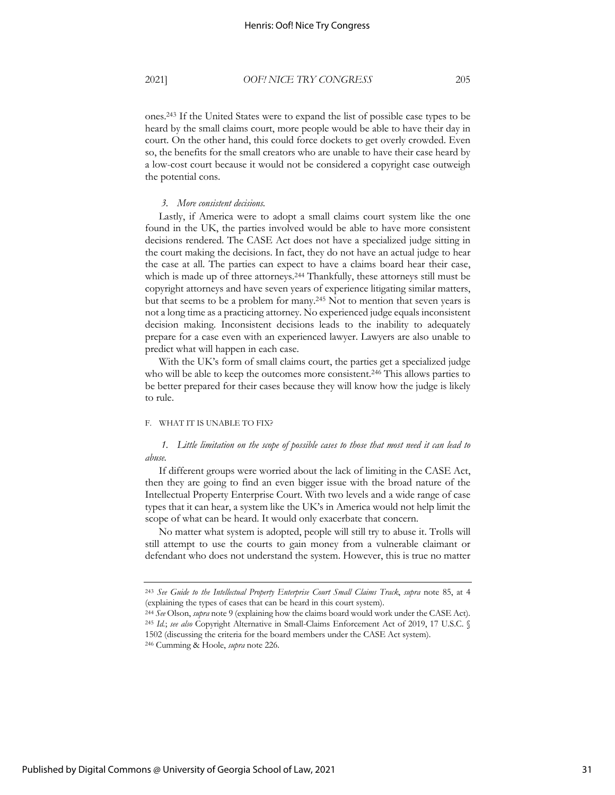ones.243 If the United States were to expand the list of possible case types to be heard by the small claims court, more people would be able to have their day in court. On the other hand, this could force dockets to get overly crowded. Even so, the benefits for the small creators who are unable to have their case heard by a low-cost court because it would not be considered a copyright case outweigh the potential cons.

#### *3. More consistent decisions.*

Lastly, if America were to adopt a small claims court system like the one found in the UK, the parties involved would be able to have more consistent decisions rendered. The CASE Act does not have a specialized judge sitting in the court making the decisions. In fact, they do not have an actual judge to hear the case at all. The parties can expect to have a claims board hear their case, which is made up of three attorneys.<sup>244</sup> Thankfully, these attorneys still must be copyright attorneys and have seven years of experience litigating similar matters, but that seems to be a problem for many.245 Not to mention that seven years is not a long time as a practicing attorney. No experienced judge equals inconsistent decision making. Inconsistent decisions leads to the inability to adequately prepare for a case even with an experienced lawyer. Lawyers are also unable to predict what will happen in each case.

With the UK's form of small claims court, the parties get a specialized judge who will be able to keep the outcomes more consistent.<sup>246</sup> This allows parties to be better prepared for their cases because they will know how the judge is likely to rule.

### F. WHAT IT IS UNABLE TO FIX?

#### *1. Little limitation on the scope of possible cases to those that most need it can lead to abuse.*

If different groups were worried about the lack of limiting in the CASE Act, then they are going to find an even bigger issue with the broad nature of the Intellectual Property Enterprise Court. With two levels and a wide range of case types that it can hear, a system like the UK's in America would not help limit the scope of what can be heard. It would only exacerbate that concern.

No matter what system is adopted, people will still try to abuse it. Trolls will still attempt to use the courts to gain money from a vulnerable claimant or defendant who does not understand the system. However, this is true no matter

<sup>243</sup> *See Guide to the Intellectual Property Enterprise Court Small Claims Track*, *supra* note 85, at 4 (explaining the types of cases that can be heard in this court system).

<sup>244</sup> *See* Olson, *supra* note 9 (explaining how the claims board would work under the CASE Act). <sup>245</sup> *Id.*; *see also* Copyright Alternative in Small-Claims Enforcement Act of 2019, 17 U.S.C. § 1502 (discussing the criteria for the board members under the CASE Act system).

<sup>246</sup> Cumming & Hoole, *supra* note 226.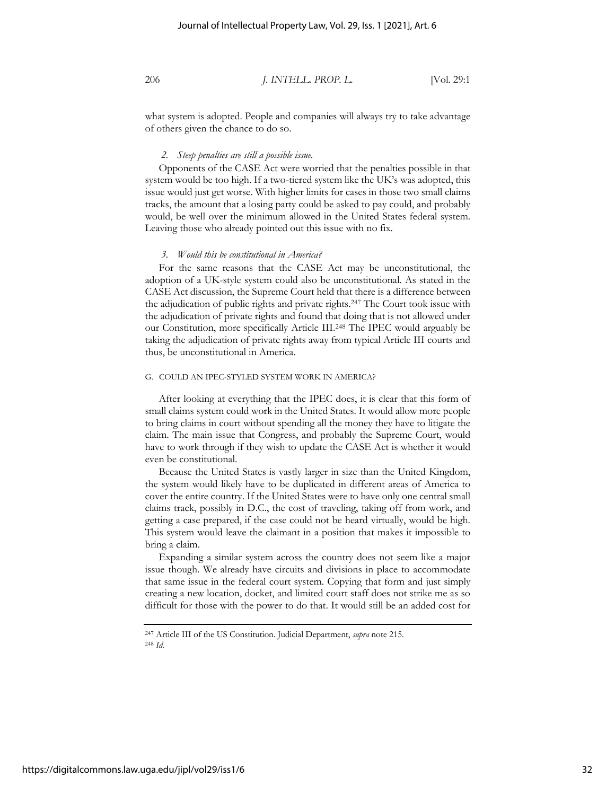206 *J. INTELL. PROP. L.* [Vol. 29:1

what system is adopted. People and companies will always try to take advantage of others given the chance to do so.

#### *2. Steep penalties are still a possible issue.*

Opponents of the CASE Act were worried that the penalties possible in that system would be too high. If a two-tiered system like the UK's was adopted, this issue would just get worse. With higher limits for cases in those two small claims tracks, the amount that a losing party could be asked to pay could, and probably would, be well over the minimum allowed in the United States federal system. Leaving those who already pointed out this issue with no fix.

#### *3. Would this be constitutional in America?*

For the same reasons that the CASE Act may be unconstitutional, the adoption of a UK-style system could also be unconstitutional. As stated in the CASE Act discussion, the Supreme Court held that there is a difference between the adjudication of public rights and private rights.247 The Court took issue with the adjudication of private rights and found that doing that is not allowed under our Constitution, more specifically Article III.248 The IPEC would arguably be taking the adjudication of private rights away from typical Article III courts and thus, be unconstitutional in America.

#### G. COULD AN IPEC-STYLED SYSTEM WORK IN AMERICA?

After looking at everything that the IPEC does, it is clear that this form of small claims system could work in the United States. It would allow more people to bring claims in court without spending all the money they have to litigate the claim. The main issue that Congress, and probably the Supreme Court, would have to work through if they wish to update the CASE Act is whether it would even be constitutional.

Because the United States is vastly larger in size than the United Kingdom, the system would likely have to be duplicated in different areas of America to cover the entire country. If the United States were to have only one central small claims track, possibly in D.C., the cost of traveling, taking off from work, and getting a case prepared, if the case could not be heard virtually, would be high. This system would leave the claimant in a position that makes it impossible to bring a claim.

Expanding a similar system across the country does not seem like a major issue though. We already have circuits and divisions in place to accommodate that same issue in the federal court system. Copying that form and just simply creating a new location, docket, and limited court staff does not strike me as so difficult for those with the power to do that. It would still be an added cost for

<sup>247</sup> Article III of the US Constitution. Judicial Department, *supra* note 215. <sup>248</sup> *Id.*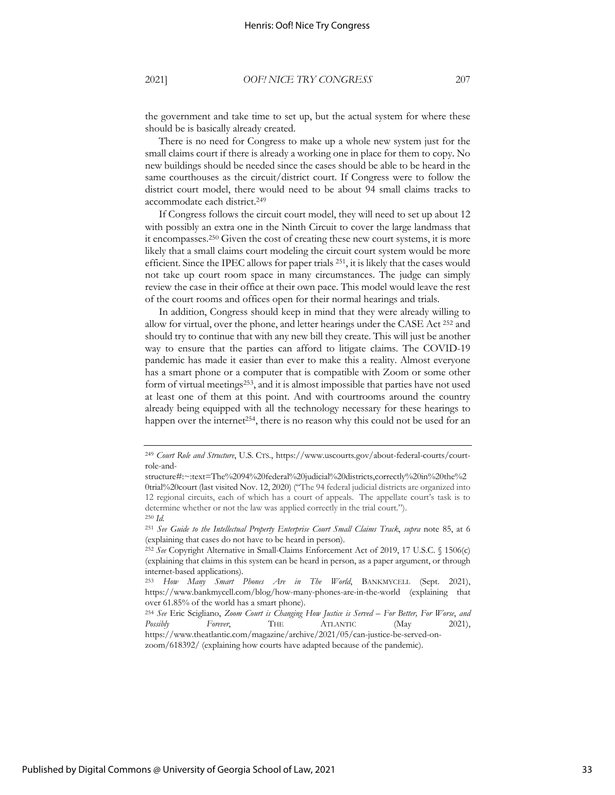the government and take time to set up, but the actual system for where these should be is basically already created.

There is no need for Congress to make up a whole new system just for the small claims court if there is already a working one in place for them to copy. No new buildings should be needed since the cases should be able to be heard in the same courthouses as the circuit/district court. If Congress were to follow the district court model, there would need to be about 94 small claims tracks to accommodate each district.249

If Congress follows the circuit court model, they will need to set up about 12 with possibly an extra one in the Ninth Circuit to cover the large landmass that it encompasses.250 Given the cost of creating these new court systems, it is more likely that a small claims court modeling the circuit court system would be more efficient. Since the IPEC allows for paper trials 251, it is likely that the cases would not take up court room space in many circumstances. The judge can simply review the case in their office at their own pace. This model would leave the rest of the court rooms and offices open for their normal hearings and trials.

In addition, Congress should keep in mind that they were already willing to allow for virtual, over the phone, and letter hearings under the CASE Act 252 and should try to continue that with any new bill they create. This will just be another way to ensure that the parties can afford to litigate claims. The COVID-19 pandemic has made it easier than ever to make this a reality. Almost everyone has a smart phone or a computer that is compatible with Zoom or some other form of virtual meetings<sup>253</sup>, and it is almost impossible that parties have not used at least one of them at this point. And with courtrooms around the country already being equipped with all the technology necessary for these hearings to happen over the internet<sup>254</sup>, there is no reason why this could not be used for an

<sup>249</sup> *Court Role and Structure*, U.S. CTS., https://www.uscourts.gov/about-federal-courts/courtrole-and-

structure#:~:text=The%2094%20federal%20judicial%20districts,correctly%20in%20the%2 0trial%20court (last visited Nov. 12, 2020) ("The 94 federal judicial districts are organized into 12 regional circuits, each of which has a court of appeals. The appellate court's task is to determine whether or not the law was applied correctly in the trial court."). <sup>250</sup> *Id.*

<sup>251</sup> *See Guide to the Intellectual Property Enterprise Court Small Claims Track*, *supra* note 85, at 6 (explaining that cases do not have to be heard in person).

<sup>252</sup> *See* Copyright Alternative in Small-Claims Enforcement Act of 2019, 17 U.S.C. § 1506(c) (explaining that claims in this system can be heard in person, as a paper argument, or through internet-based applications).

<sup>253</sup> *How Many Smart Phones Are in The World*, BANKMYCELL (Sept. 2021), https://www.bankmycell.com/blog/how-many-phones-are-in-the-world (explaining that over 61.85% of the world has a smart phone).

<sup>254</sup> *See* Eric Scigliano, *Zoom Court is Changing How Justice is Served – For Better, For Worse*, *and*  Possibly Forever, THE ATLANTIC (May 2021), https://www.theatlantic.com/magazine/archive/2021/05/can-justice-be-served-on-

zoom/618392/ (explaining how courts have adapted because of the pandemic).